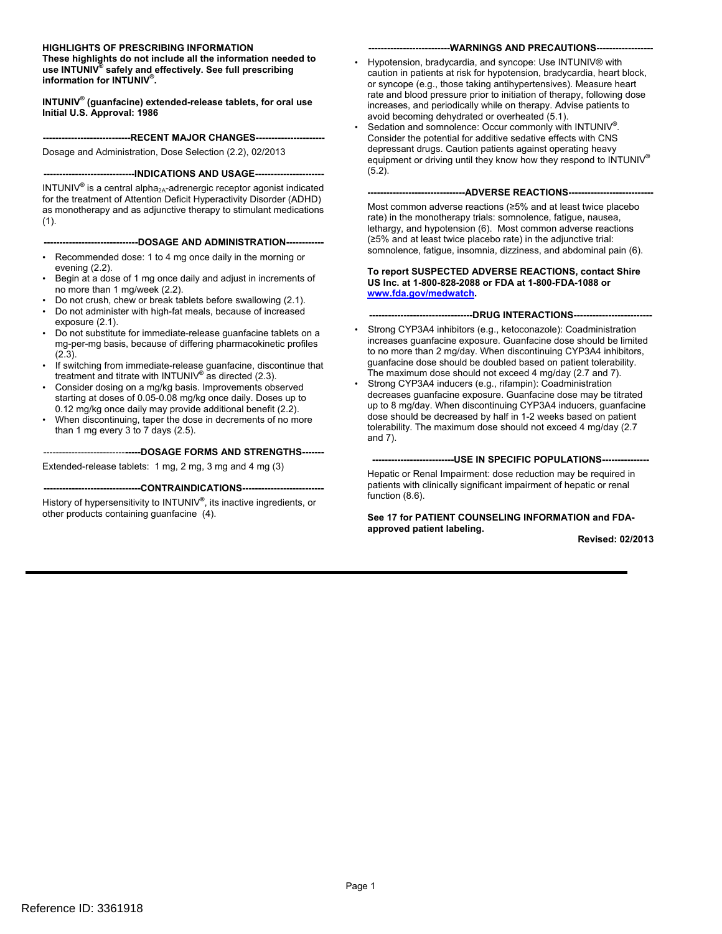#### **HIGHLIGHTS OF PRESCRIBING INFORMATION**

**These highlights do not include all the information needed to use INTUNIV® safely and effectively. See full prescribing information for INTUNIV® .** 

**INTUNIV® (guanfacine) extended-release tablets, for oral use Initial U.S. Approval: 1986** 

#### **----------------------------RECENT MAJOR CHANGES----------------------**

Dosage and Administration, Dose Selection (2.2), 02/2013

#### **-----------------------------INDICATIONS AND USAGE---------------------**

INTUNIV<sup>®</sup> is a central alpha<sub>2A</sub>-adrenergic receptor agonist indicated for the treatment of Attention Deficit Hyperactivity Disorder (ADHD) as monotherapy and as adjunctive therapy to stimulant medications  $(1)$ .

#### **------------------------------DOSAGE AND ADMINISTRATION------------**

- Recommended dose: 1 to 4 mg once daily in the morning or evening (2.2).
- Begin at a dose of 1 mg once daily and adjust in increments of no more than 1 mg/week (2.2).
- Do not crush, chew or break tablets before swallowing (2.1).
- Do not administer with high-fat meals, because of increased exposure (2.1).
- Do not substitute for immediate-release guanfacine tablets on a mg-per-mg basis, because of differing pharmacokinetic profiles (2.3).
- If switching from immediate-release guanfacine, discontinue that treatment and titrate with INTUNIV**®** as directed (2.3).
- Consider dosing on a mg/kg basis. Improvements observed starting at doses of 0.05-0.08 mg/kg once daily. Doses up to 0.12 mg/kg once daily may provide additional benefit (2.2).
- than 1 mg every 3 to 7 days (2.5). When discontinuing, taper the dose in decrements of no more

#### --------------------------**-----DOSAGE FORMS AND STRENGTHS------**

Extended-release tablets: 1 mg, 2 mg, 3 mg and 4 mg (3)

#### **-------------------------------CONTRAINDICATIONS-------------------------**

History of hypersensitivity to INTUNIV**®** , its inactive ingredients, or other products containing guanfacine (4).

#### ----WARNINGS AND PRECAUTIONS--

- Hypotension, bradycardia, and syncope: Use INTUNIV® with caution in patients at risk for hypotension, bradycardia, heart block, or syncope (e.g., those taking antihypertensives). Measure heart rate and blood pressure prior to initiation of therapy, following dose increases, and periodically while on therapy. Advise patients to avoid becoming dehydrated or overheated (5.1).
- equipment or driving until they know how they respond to INTUNIV**®**  • Sedation and somnolence: Occur commonly with INTUNIV**®**  . Consider the potential for additive sedative effects with CNS depressant drugs. Caution patients against operating heavy (5.2).

#### **-------------------------------ADVERSE REACTIONS---------------------------**

Most common adverse reactions (≥5% and at least twice placebo rate) in the monotherapy trials: somnolence, fatigue, nausea, lethargy, and hypotension (6). Most common adverse reactions (≥5% and at least twice placebo rate) in the adjunctive trial: somnolence, fatigue, insomnia, dizziness, and abdominal pain (6).

#### **To report SUSPECTED ADVERSE REACTIONS, contact Shire US Inc. at 1-800-828-2088 or FDA at 1-800-FDA-1088 or [www.fda.gov/medwatch](http://www.fda.gov/medwatch).**

--DRUG INTERACTIONS---

- The maximum dose should not exceed 4 mg/day (2.7 and 7). Strong CYP3A4 inhibitors (e.g., ketoconazole): Coadministration increases guanfacine exposure. Guanfacine dose should be limited to no more than 2 mg/day. When discontinuing CYP3A4 inhibitors, guanfacine dose should be doubled based on patient tolerability.
- Strong CYP3A4 inducers (e.g., rifampin): Coadministration decreases guanfacine exposure. Guanfacine dose may be titrated up to 8 mg/day. When discontinuing CYP3A4 inducers, guanfacine dose should be decreased by half in 1-2 weeks based on patient tolerability. The maximum dose should not exceed 4 mg/day (2.7 and 7).

#### **--------------------------USE IN SPECIFIC POPULATIONS--------------**

Hepatic or Renal Impairment: dose reduction may be required in patients with clinically significant impairment of hepatic or renal function (8.6).

**See 17 for PATIENT COUNSELING INFORMATION and FDAapproved patient labeling.** 

**Revised: 02/2013**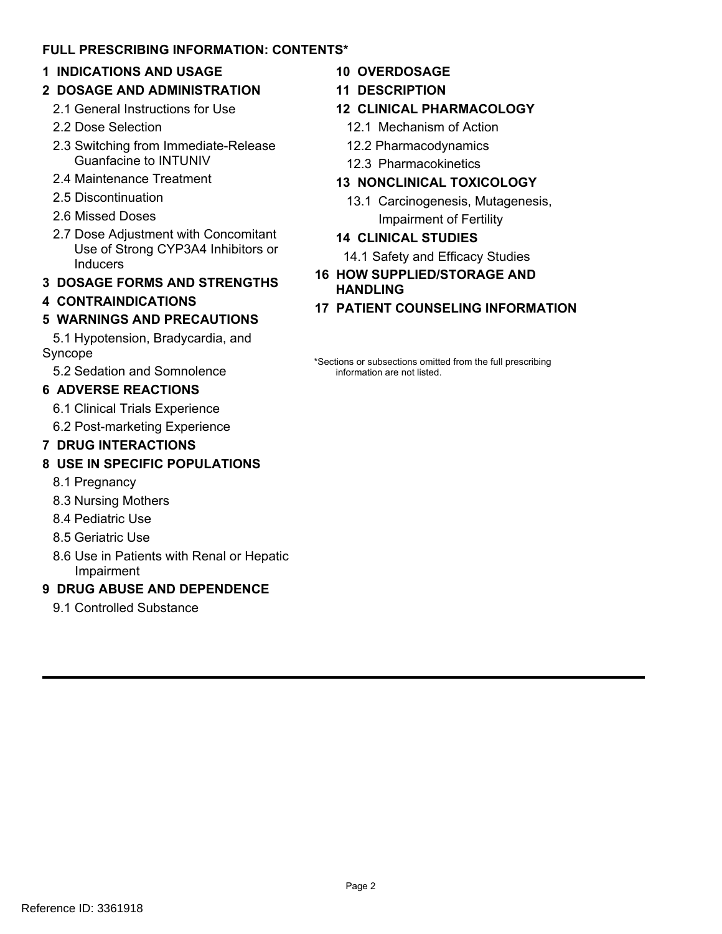# **FULL PRESCRIBING INFORMATION: CONTENTS\***

# **1 INDICATIONS AND USAGE**

- **2 DOSAGE AND ADMINISTRATION** 
	- 2.1 General Instructions for Use
	- 2.2 Dose Selection
	- 2.3 Switching from Immediate-Release Guanfacine to INTUNIV
	- 2.4 Maintenance Treatment
	- 2.5 Discontinuation
	- 2.6 Missed Doses
	- 2.7 Dose Adjustment with Concomitant Use of Strong CYP3A4 Inhibitors or Inducers
- **3 DOSAGE FORMS AND STRENGTHS**

# **4 CONTRAINDICATIONS**

# **5 WARNINGS AND PRECAUTIONS**

5.1 Hypotension, Bradycardia, and Syncope

5.2 Sedation and Somnolence

# **6 ADVERSE REACTIONS**

6.1 Clinical Trials Experience

6.2 Post-marketing Experience

# **7 DRUG INTERACTIONS**

# **8 USE IN SPECIFIC POPULATIONS**

- 8.1 Pregnancy
- 8.3 Nursing Mothers
- 8.4 Pediatric Use
- 8.5 Geriatric Use
- 8.6 Use in Patients with Renal or Hepatic Impairment

# **9 DRUG ABUSE AND DEPENDENCE**

9.1 Controlled Substance

# **10 OVERDOSAGE**

- **11 DESCRIPTION**
- **12 CLINICAL PHARMACOLOGY** 
	- 12.1 Mechanism of Action
	- 12.2 Pharmacodynamics
	- 12.3 Pharmacokinetics

# **13 NONCLINICAL TOXICOLOGY**

13.1 Carcinogenesis, Mutagenesis, Impairment of Fertility

# **14 CLINICAL STUDIES**

14.1 Safety and Efficacy Studies

- **16 HOW SUPPLIED/STORAGE AND HANDLING**
- **17 PATIENT COUNSELING INFORMATION**

\*Sections or subsections omitted from the full prescribing information are not listed.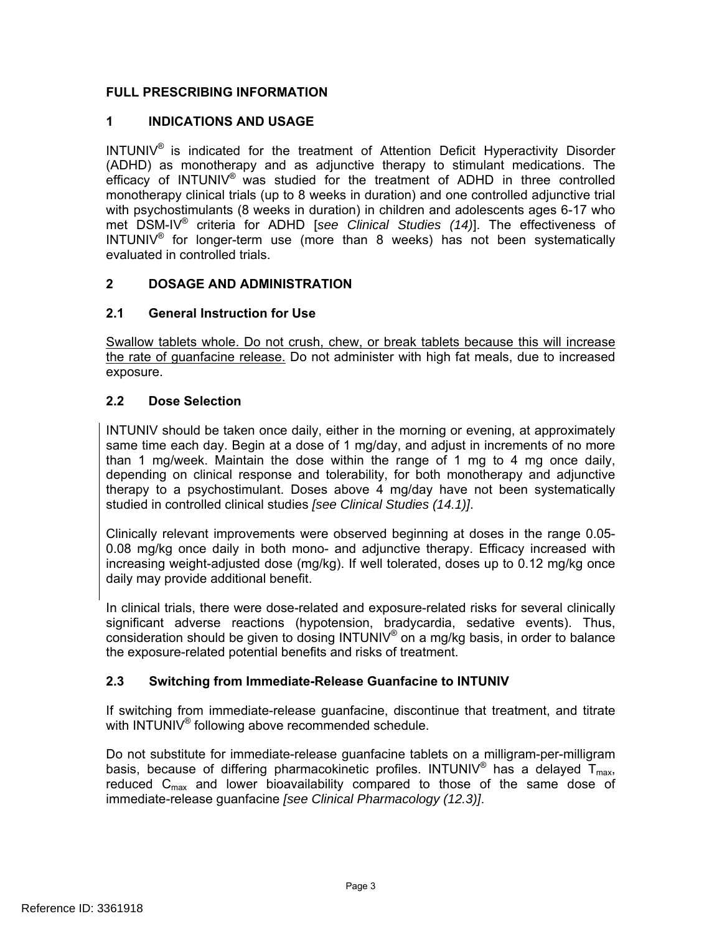# **FULL PRESCRIBING INFORMATION**

# **1 INDICATIONS AND USAGE**

 $INTUNIV<sup>®</sup>$  is indicated for the treatment of Attention Deficit Hyperactivity Disorder (ADHD) as monotherapy and as adjunctive therapy to stimulant medications. The efficacy of INTUNIV<sup>®</sup> was studied for the treatment of ADHD in three controlled monotherapy clinical trials (up to 8 weeks in duration) and one controlled adjunctive trial with psychostimulants (8 weeks in duration) in children and adolescents ages 6-17 who met DSM-IV® criteria for ADHD [*see Clinical Studies (14)*]. The effectiveness of INTUNIV® for longer-term use (more than 8 weeks) has not been systematically evaluated in controlled trials.

# **2 DOSAGE AND ADMINISTRATION**

# **2.1 General Instruction for Use**

Swallow tablets whole. Do not crush, chew, or break tablets because this will increase the rate of guanfacine release. Do not administer with high fat meals, due to increased exposure.

# **2.2 Dose Selection**

INTUNIV should be taken once daily, either in the morning or evening, at approximately same time each day. Begin at a dose of 1 mg/day, and adjust in increments of no more than 1 mg/week. Maintain the dose within the range of 1 mg to 4 mg once daily, depending on clinical response and tolerability, for both monotherapy and adjunctive therapy to a psychostimulant. Doses above 4 mg/day have not been systematically studied in controlled clinical studies *[see Clinical Studies (14.1)]*.

Clinically relevant improvements were observed beginning at doses in the range 0.05 0.08 mg/kg once daily in both mono- and adjunctive therapy. Efficacy increased with increasing weight-adjusted dose (mg/kg). If well tolerated, doses up to 0.12 mg/kg once daily may provide additional benefit.

In clinical trials, there were dose-related and exposure-related risks for several clinically significant adverse reactions (hypotension, bradycardia, sedative events). Thus, consideration should be given to dosing INTUNIV<sup>®</sup> on a mg/kg basis, in order to balance the exposure-related potential benefits and risks of treatment.

# **2.3 Switching from Immediate-Release Guanfacine to INTUNIV**

If switching from immediate-release guanfacine, discontinue that treatment, and titrate with INTUNIV<sup>®</sup> following above recommended schedule.

Do not substitute for immediate-release guanfacine tablets on a milligram-per-milligram basis, because of differing pharmacokinetic profiles. INTUNIV<sup>®</sup> has a delayed  $T_{max}$ , reduced  $C_{\text{max}}$  and lower bioavailability compared to those of the same dose of immediate-release guanfacine *[see Clinical Pharmacology (12.3)]*.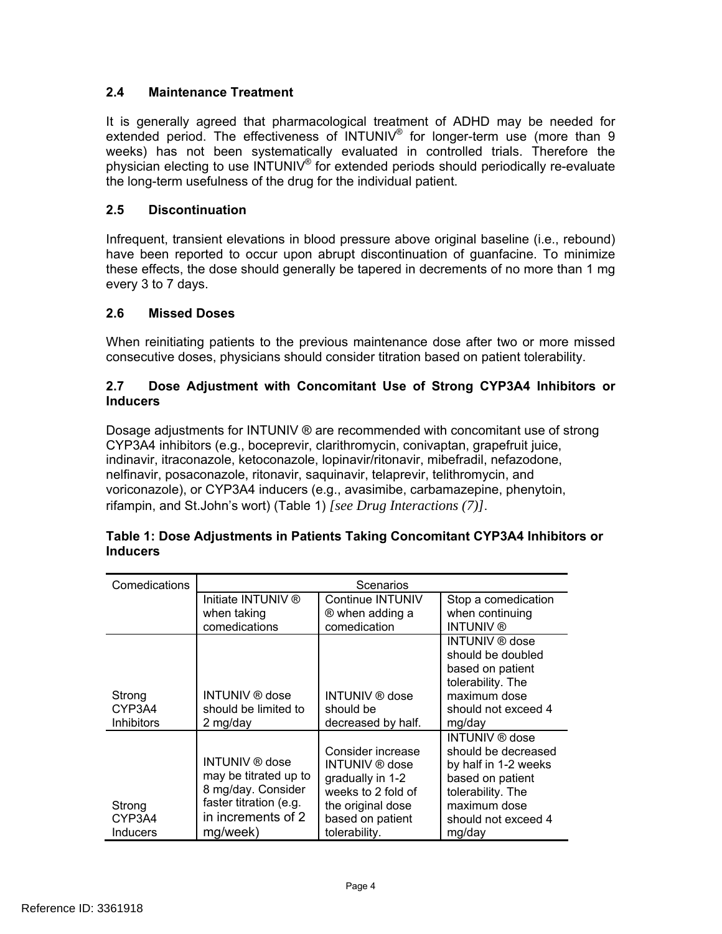# **2.4 Maintenance Treatment**

It is generally agreed that pharmacological treatment of ADHD may be needed for extended period. The effectiveness of INTUNIV<sup>®</sup> for longer-term use (more than 9 weeks) has not been systematically evaluated in controlled trials. Therefore the physician electing to use INTUNIV® for extended periods should periodically re-evaluate the long-term usefulness of the drug for the individual patient.

### **2.5 Discontinuation**

Infrequent, transient elevations in blood pressure above original baseline (i.e., rebound) have been reported to occur upon abrupt discontinuation of guanfacine. To minimize these effects, the dose should generally be tapered in decrements of no more than 1 mg every 3 to 7 days.

#### **2.6 Missed Doses**

When reinitiating patients to the previous maintenance dose after two or more missed consecutive doses, physicians should consider titration based on patient tolerability.

#### **2.7 Dose Adjustment with Concomitant Use of Strong CYP3A4 Inhibitors or Inducers**

Dosage adjustments for INTUNIV ® are recommended with concomitant use of strong CYP3A4 inhibitors (e.g., boceprevir, clarithromycin, conivaptan, grapefruit juice, indinavir, itraconazole, ketoconazole, lopinavir/ritonavir, mibefradil, nefazodone, nelfinavir, posaconazole, ritonavir, saquinavir, telaprevir, telithromycin, and voriconazole), or CYP3A4 inducers (e.g., avasimibe, carbamazepine, phenytoin, rifampin, and St.John's wort) (Table 1) *[see Drug Interactions (7)]*.

| Comedications                         | Scenarios                                                                                                                        |                                                                                                                                                |                                                                                                                                                         |  |  |
|---------------------------------------|----------------------------------------------------------------------------------------------------------------------------------|------------------------------------------------------------------------------------------------------------------------------------------------|---------------------------------------------------------------------------------------------------------------------------------------------------------|--|--|
|                                       | Initiate INTUNIV ®<br>when taking                                                                                                | Continue INTUNIV<br>® when adding a                                                                                                            | Stop a comedication<br>when continuing                                                                                                                  |  |  |
|                                       | comedications                                                                                                                    | comedication                                                                                                                                   | <b>INTUNIV®</b>                                                                                                                                         |  |  |
| Strong<br>CYP3A4<br><b>Inhibitors</b> | <b>INTUNIV</b> ® dose<br>should be limited to<br>2 mg/day                                                                        | <b>INTUNIV</b> ® dose<br>should be<br>decreased by half.                                                                                       | INTUNIV ® dose<br>should be doubled<br>based on patient<br>tolerability. The<br>maximum dose<br>should not exceed 4<br>mg/day                           |  |  |
| Strong<br>CYP3A4<br><b>Inducers</b>   | <b>INTUNIV</b> ® dose<br>may be titrated up to<br>8 mg/day. Consider<br>faster titration (e.g.<br>in increments of 2<br>mg/week) | Consider increase<br><b>INTUNIV</b> ® dose<br>gradually in 1-2<br>weeks to 2 fold of<br>the original dose<br>based on patient<br>tolerability. | INTUNIV ® dose<br>should be decreased<br>by half in 1-2 weeks<br>based on patient<br>tolerability. The<br>maximum dose<br>should not exceed 4<br>mg/day |  |  |

#### **Table 1: Dose Adjustments in Patients Taking Concomitant CYP3A4 Inhibitors or Inducers**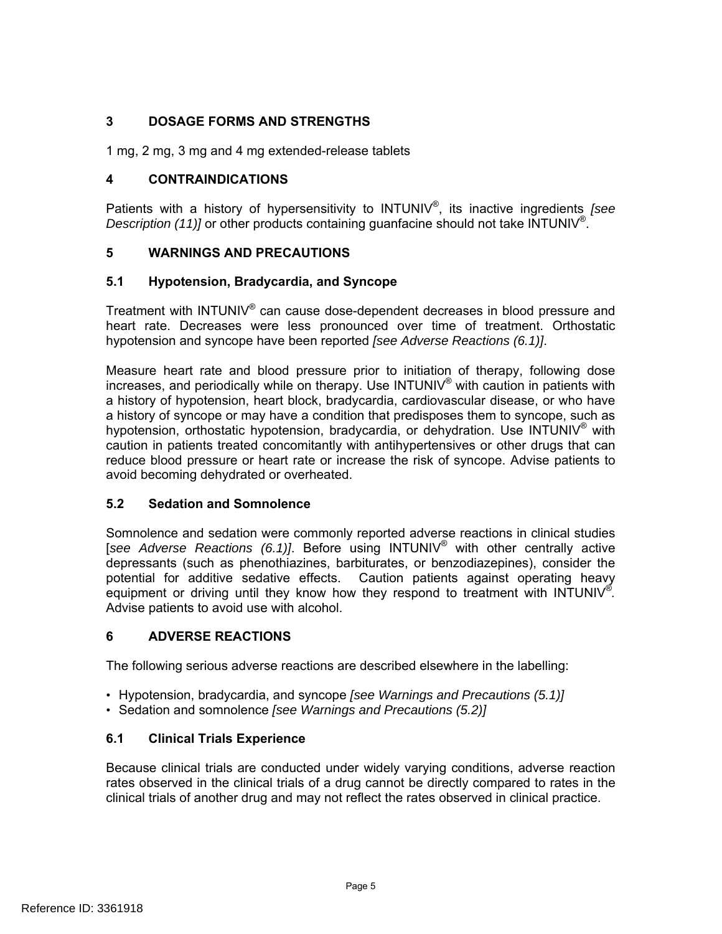# **3 DOSAGE FORMS AND STRENGTHS**

1 mg, 2 mg, 3 mg and 4 mg extended-release tablets

# **4 CONTRAINDICATIONS**

Patients with a history of hypersensitivity to INTUNIV®, its inactive ingredients *[see Description (11)]* or other products containing guanfacine should not take INTUNIV<sup>®</sup>.

## **5 WARNINGS AND PRECAUTIONS**

## **5.1 Hypotension, Bradycardia, and Syncope**

Treatment with INTUNIV® can cause dose-dependent decreases in blood pressure and heart rate. Decreases were less pronounced over time of treatment. Orthostatic hypotension and syncope have been reported *[see Adverse Reactions (6.1)]*.

Measure heart rate and blood pressure prior to initiation of therapy, following dose increases, and periodically while on therapy. Use  $INTUNIV<sup>®</sup>$  with caution in patients with a history of hypotension, heart block, bradycardia, cardiovascular disease, or who have a history of syncope or may have a condition that predisposes them to syncope, such as hypotension, orthostatic hypotension, bradycardia, or dehydration. Use INTUNIV® with caution in patients treated concomitantly with antihypertensives or other drugs that can reduce blood pressure or heart rate or increase the risk of syncope. Advise patients to avoid becoming dehydrated or overheated.

#### **5.2 Sedation and Somnolence**

Somnolence and sedation were commonly reported adverse reactions in clinical studies [*see Adverse Reactions (6.1)]*. Before using INTUNIV® with other centrally active depressants (such as phenothiazines, barbiturates, or benzodiazepines), consider the potential for additive sedative effects. Caution patients against operating heavy equipment or driving until they know how they respond to treatment with INTUNIV<sup>®</sup>. Advise patients to avoid use with alcohol.

# **6 ADVERSE REACTIONS**

The following serious adverse reactions are described elsewhere in the labelling:

- Hypotension, bradycardia, and syncope *[see Warnings and Precautions (5.1)]*
- Sedation and somnolence *[see Warnings and Precautions (5.2)]*

# **6.1 Clinical Trials Experience**

Because clinical trials are conducted under widely varying conditions, adverse reaction rates observed in the clinical trials of a drug cannot be directly compared to rates in the clinical trials of another drug and may not reflect the rates observed in clinical practice.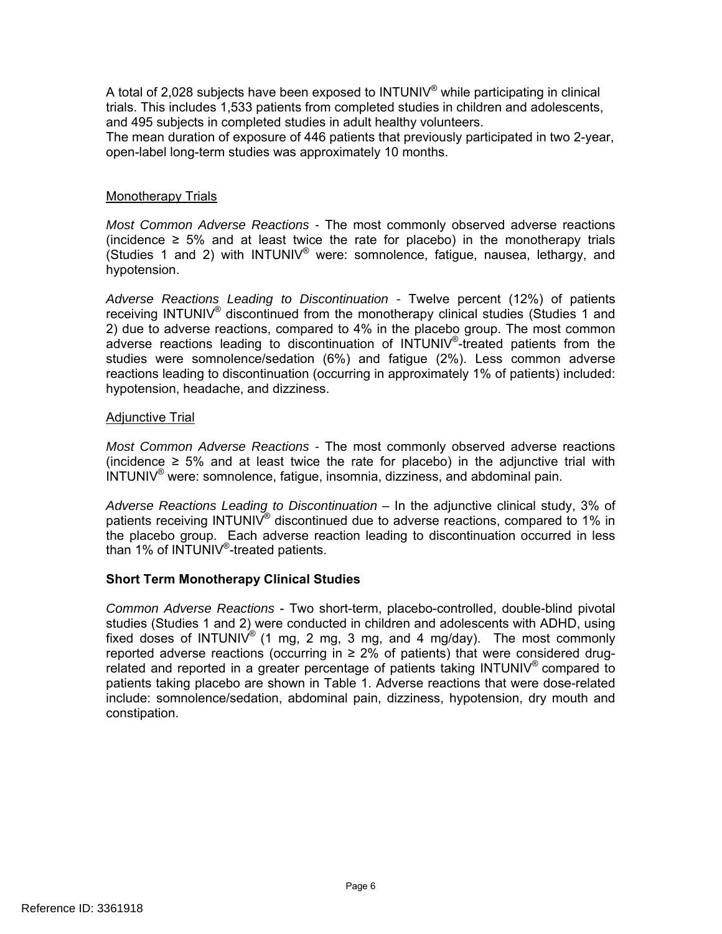A total of 2,028 subjects have been exposed to INTUNIV<sup>®</sup> while participating in clinical trials. This includes 1,533 patients from completed studies in children and adolescents, and 495 subjects in completed studies in adult healthy volunteers. The mean duration of exposure of 446 patients that previously participated in two 2-year, open-label long-term studies was approximately 10 months.

#### Monotherapy Trials

*Most Common Adverse Reactions -* The most commonly observed adverse reactions (incidence  $\geq$  5% and at least twice the rate for placebo) in the monotherapy trials (Studies 1 and 2) with INTUNIV® were: somnolence, fatigue, nausea, lethargy, and hypotension.

*Adverse Reactions Leading to Discontinuation -* Twelve percent (12%) of patients receiving INTUNIV® discontinued from the monotherapy clinical studies (Studies 1 and 2) due to adverse reactions, compared to 4% in the placebo group. The most common adverse reactions leading to discontinuation of INTUNIV®-treated patients from the studies were somnolence/sedation (6%) and fatigue (2%). Less common adverse reactions leading to discontinuation (occurring in approximately 1% of patients) included: hypotension, headache, and dizziness.

#### Adjunctive Trial

*Most Common Adverse Reactions -* The most commonly observed adverse reactions (incidence  $≥ 5%$  and at least twice the rate for placebo) in the adjunctive trial with INTUNIV® were: somnolence, fatigue, insomnia, dizziness, and abdominal pain.

*Adverse Reactions Leading to Discontinuation –* In the adjunctive clinical study, 3% of patients receiving INTUNIV® discontinued due to adverse reactions, compared to 1% in the placebo group. Each adverse reaction leading to discontinuation occurred in less than 1% of INTUNIV®-treated patients.

#### **Short Term Monotherapy Clinical Studies**

*Common Adverse Reactions* - Two short-term, placebo-controlled, double-blind pivotal studies (Studies 1 and 2) were conducted in children and adolescents with ADHD, using fixed doses of INTUNIV® (1 mg, 2 mg, 3 mg, and 4 mg/day). The most commonly reported adverse reactions (occurring in  $\geq$  2% of patients) that were considered drugrelated and reported in a greater percentage of patients taking  $INTUNIV<sup>®</sup>$  compared to patients taking placebo are shown in Table 1. Adverse reactions that were dose-related include: somnolence/sedation, abdominal pain, dizziness, hypotension, dry mouth and constipation.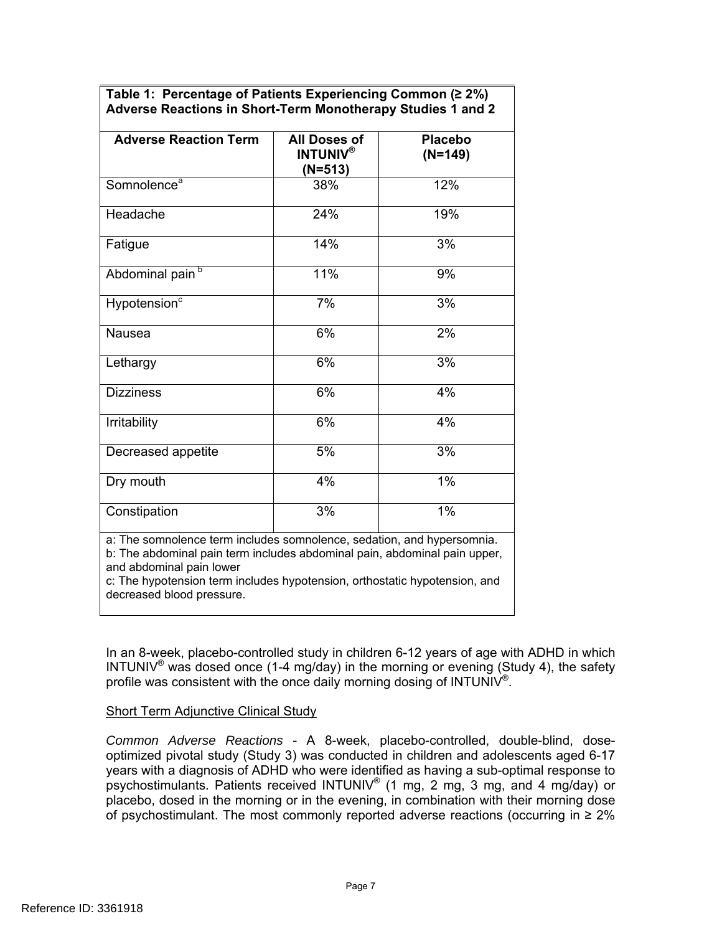| Table 1: Percentage of Patients Experiencing Common (≥ 2%)  |
|-------------------------------------------------------------|
| Adverse Reactions in Short-Term Monotherapy Studies 1 and 2 |

| <b>Adverse Reaction Term</b>                                                                                                                                                                                                                                                               | <b>All Doses of</b><br><b>INTUNIV®</b><br>(N=513) | <b>Placebo</b><br>$(N=149)$ |
|--------------------------------------------------------------------------------------------------------------------------------------------------------------------------------------------------------------------------------------------------------------------------------------------|---------------------------------------------------|-----------------------------|
| Somnolence <sup>a</sup>                                                                                                                                                                                                                                                                    | 38%                                               | 12%                         |
| Headache                                                                                                                                                                                                                                                                                   | 24%                                               | 19%                         |
| Fatigue                                                                                                                                                                                                                                                                                    | 14%                                               | 3%                          |
| Abdominal pain <sup>b</sup>                                                                                                                                                                                                                                                                | 11%                                               | 9%                          |
| Hypotension <sup>c</sup>                                                                                                                                                                                                                                                                   | 7%                                                | 3%                          |
| Nausea                                                                                                                                                                                                                                                                                     | 6%                                                | 2%                          |
| Lethargy                                                                                                                                                                                                                                                                                   | 6%                                                | 3%                          |
| <b>Dizziness</b>                                                                                                                                                                                                                                                                           | 6%                                                | 4%                          |
| Irritability                                                                                                                                                                                                                                                                               | 6%                                                | 4%                          |
| Decreased appetite                                                                                                                                                                                                                                                                         | 5%                                                | 3%                          |
| Dry mouth                                                                                                                                                                                                                                                                                  | 4%                                                | 1%                          |
| Constipation                                                                                                                                                                                                                                                                               | 3%                                                | $1\%$                       |
| a: The somnolence term includes somnolence, sedation, and hypersomnia.<br>b: The abdominal pain term includes abdominal pain, abdominal pain upper,<br>and abdominal pain lower<br>c: The hypotension term includes hypotension, orthostatic hypotension, and<br>decreased blood pressure. |                                                   |                             |

In an 8-week, placebo-controlled study in children 6-12 years of age with ADHD in which INTUNIV<sup>®</sup> was dosed once (1-4 mg/day) in the morning or evening (Study 4), the safety profile was consistent with the once daily morning dosing of INTUNIV<sup>®</sup>.

#### Short Term Adjunctive Clinical Study

*Common Adverse Reactions* - A 8-week, placebo-controlled, double-blind, doseoptimized pivotal study (Study 3) was conducted in children and adolescents aged 6-17 years with a diagnosis of ADHD who were identified as having a sub-optimal response to psychostimulants. Patients received INTUNIV® (1 mg, 2 mg, 3 mg, and 4 mg/day) or placebo, dosed in the morning or in the evening, in combination with their morning dose of psychostimulant. The most commonly reported adverse reactions (occurring in  $\geq 2\%$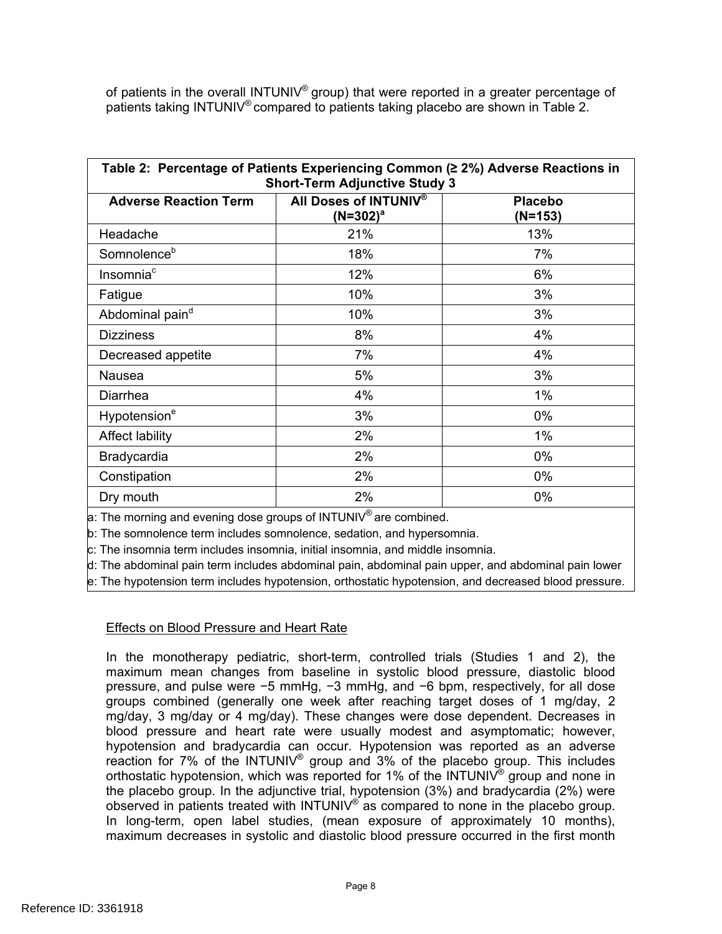patients taking INTUNIV® compared to patients taking placebo are shown in Table 2. of patients in the overall INTUNIV® group) that were reported in a greater percentage of

| Table 2: Percentage of Patients Experiencing Common (≥ 2%) Adverse Reactions in<br><b>Short-Term Adjunctive Study 3</b> |                                      |                           |  |  |  |  |
|-------------------------------------------------------------------------------------------------------------------------|--------------------------------------|---------------------------|--|--|--|--|
| <b>Adverse Reaction Term</b>                                                                                            | All Doses of INTUNIV®<br>$(N=302)^a$ | <b>Placebo</b><br>(N=153) |  |  |  |  |
| Headache                                                                                                                | 21%                                  | 13%                       |  |  |  |  |
| Somnolence <sup>b</sup>                                                                                                 | 18%                                  | 7%                        |  |  |  |  |
| Insomnia <sup>c</sup>                                                                                                   | 12%                                  | 6%                        |  |  |  |  |
| Fatigue                                                                                                                 | 10%                                  | 3%                        |  |  |  |  |
| Abdominal pain <sup>d</sup>                                                                                             | 10%                                  | 3%                        |  |  |  |  |
| <b>Dizziness</b>                                                                                                        | 8%                                   | 4%                        |  |  |  |  |
| Decreased appetite                                                                                                      | 7%                                   | 4%                        |  |  |  |  |
| Nausea                                                                                                                  | 5%                                   | 3%                        |  |  |  |  |
| Diarrhea                                                                                                                | 4%                                   | $1\%$                     |  |  |  |  |
| Hypotension <sup>e</sup>                                                                                                | 3%                                   | 0%                        |  |  |  |  |
| Affect lability                                                                                                         | 2%                                   | $1\%$                     |  |  |  |  |
| Bradycardia                                                                                                             | 2%                                   | 0%                        |  |  |  |  |
| Constipation                                                                                                            | 2%                                   | 0%                        |  |  |  |  |
| Dry mouth                                                                                                               | 2%                                   | 0%                        |  |  |  |  |
| $\mathbb{R}$                                                                                                            |                                      |                           |  |  |  |  |

 $\alpha$ : The morning and evening dose groups of INTUNIV<sup>®</sup> are combined.

b: The somnolence term includes somnolence, sedation, and hypersomnia.

c: The insomnia term includes insomnia, initial insomnia, and middle insomnia.

d: The abdominal pain term includes abdominal pain, abdominal pain upper, and abdominal pain lower

e: The hypotension term includes hypotension, orthostatic hypotension, and decreased blood pressure.

#### Effects on Blood Pressure and Heart Rate

observed in patients treated with INTUNIV® as compared to none in the placebo group. In the monotherapy pediatric, short-term, controlled trials (Studies 1 and 2), the maximum mean changes from baseline in systolic blood pressure, diastolic blood pressure, and pulse were −5 mmHg, −3 mmHg, and −6 bpm, respectively, for all dose groups combined (generally one week after reaching target doses of 1 mg/day, 2 mg/day, 3 mg/day or 4 mg/day). These changes were dose dependent. Decreases in blood pressure and heart rate were usually modest and asymptomatic; however, hypotension and bradycardia can occur. Hypotension was reported as an adverse reaction for  $7\%$  of the INTUNIV<sup>®</sup> group and  $3\%$  of the placebo group. This includes orthostatic hypotension, which was reported for 1% of the INTUNIV<sup>®</sup> group and none in the placebo group. In the adjunctive trial, hypotension (3%) and bradycardia (2%) were In long-term, open label studies, (mean exposure of approximately 10 months), maximum decreases in systolic and diastolic blood pressure occurred in the first month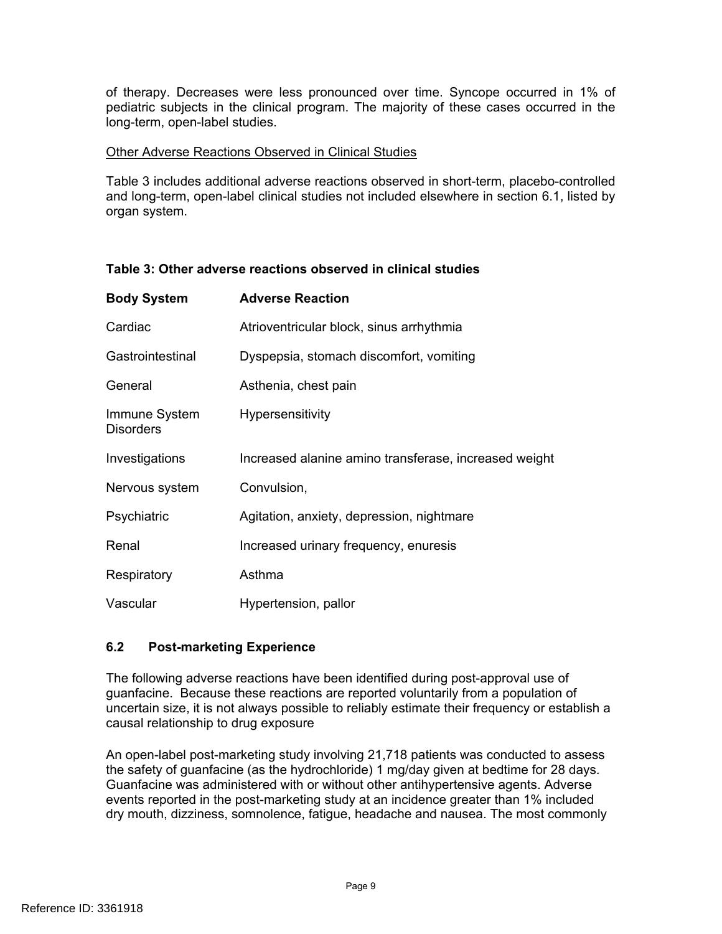of therapy. Decreases were less pronounced over time. Syncope occurred in 1% of pediatric subjects in the clinical program. The majority of these cases occurred in the long-term, open-label studies.

#### Other Adverse Reactions Observed in Clinical Studies

Table 3 includes additional adverse reactions observed in short-term, placebo-controlled and long-term, open-label clinical studies not included elsewhere in section 6.1, listed by organ system.

| <b>Body System</b>                | <b>Adverse Reaction</b>                               |
|-----------------------------------|-------------------------------------------------------|
| Cardiac                           | Atrioventricular block, sinus arrhythmia              |
| Gastrointestinal                  | Dyspepsia, stomach discomfort, vomiting               |
| General                           | Asthenia, chest pain                                  |
| Immune System<br><b>Disorders</b> | <b>Hypersensitivity</b>                               |
| Investigations                    | Increased alanine amino transferase, increased weight |
| Nervous system                    | Convulsion,                                           |
| Psychiatric                       | Agitation, anxiety, depression, nightmare             |
| Renal                             | Increased urinary frequency, enuresis                 |
| Respiratory                       | Asthma                                                |
| Vascular                          | Hypertension, pallor                                  |

# **Table 3: Other adverse reactions observed in clinical studies**

# **6.2 Post-marketing Experience**

The following adverse reactions have been identified during post-approval use of guanfacine. Because these reactions are reported voluntarily from a population of uncertain size, it is not always possible to reliably estimate their frequency or establish a causal relationship to drug exposure

An open-label post-marketing study involving 21,718 patients was conducted to assess the safety of guanfacine (as the hydrochloride) 1 mg/day given at bedtime for 28 days. Guanfacine was administered with or without other antihypertensive agents. Adverse events reported in the post-marketing study at an incidence greater than 1% included dry mouth, dizziness, somnolence, fatigue, headache and nausea. The most commonly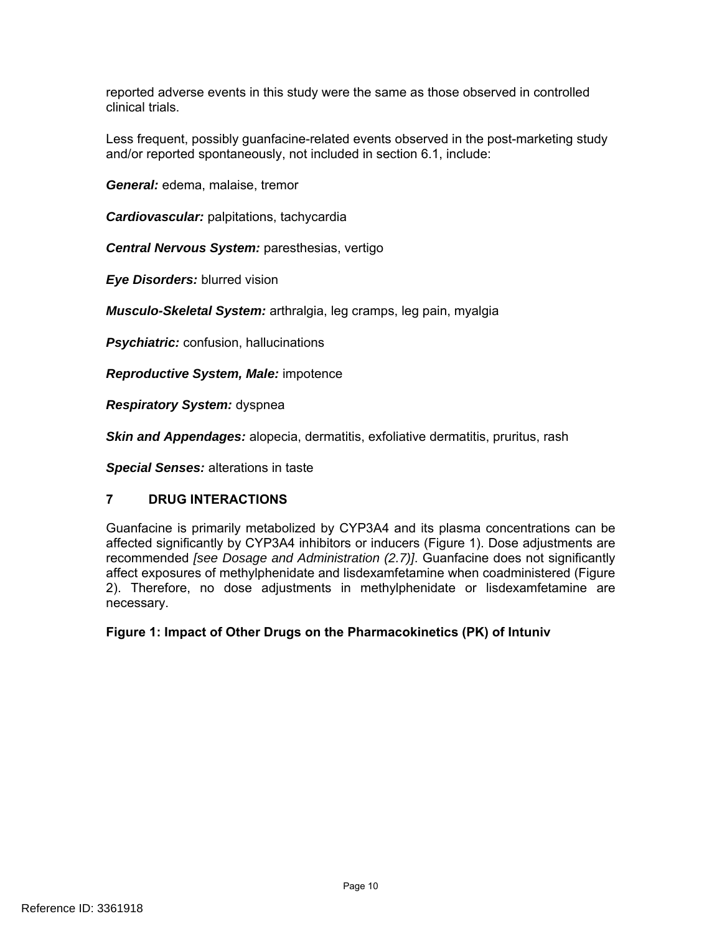reported adverse events in this study were the same as those observed in controlled clinical trials.

Less frequent, possibly guanfacine-related events observed in the post-marketing study and/or reported spontaneously, not included in section 6.1, include:

*General:* edema, malaise, tremor

*Cardiovascular:* palpitations, tachycardia

*Central Nervous System:* paresthesias, vertigo

*Eye Disorders:* blurred vision

*Musculo-Skeletal System:* arthralgia, leg cramps, leg pain, myalgia

*Psychiatric:* confusion, hallucinations

*Reproductive System, Male:* impotence

*Respiratory System:* dyspnea

*Skin and Appendages:* alopecia, dermatitis, exfoliative dermatitis, pruritus, rash

*Special Senses:* alterations in taste

#### **7 DRUG INTERACTIONS**

Guanfacine is primarily metabolized by CYP3A4 and its plasma concentrations can be affected significantly by CYP3A4 inhibitors or inducers (Figure 1). Dose adjustments are recommended *[see Dosage and Administration (2.7)]*. Guanfacine does not significantly affect exposures of methylphenidate and lisdexamfetamine when coadministered (Figure 2). Therefore, no dose adjustments in methylphenidate or lisdexamfetamine are necessary.

**Figure 1: Impact of Other Drugs on the Pharmacokinetics (PK) of Intuniv**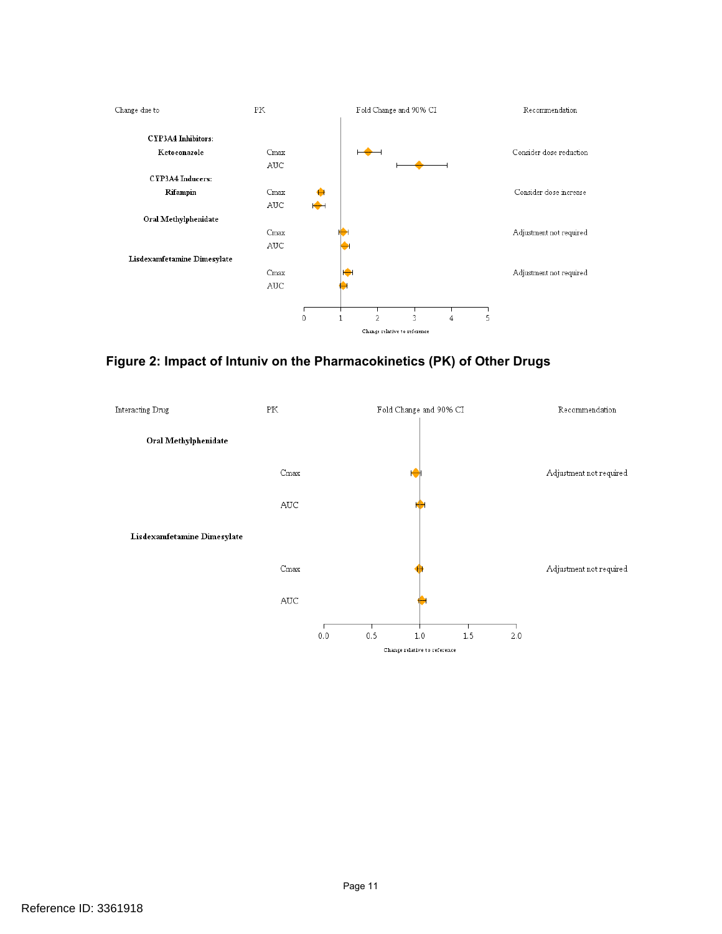

**Figure 2: Impact of Intuniv on the Pharmacokinetics (PK) of Other Drugs** 

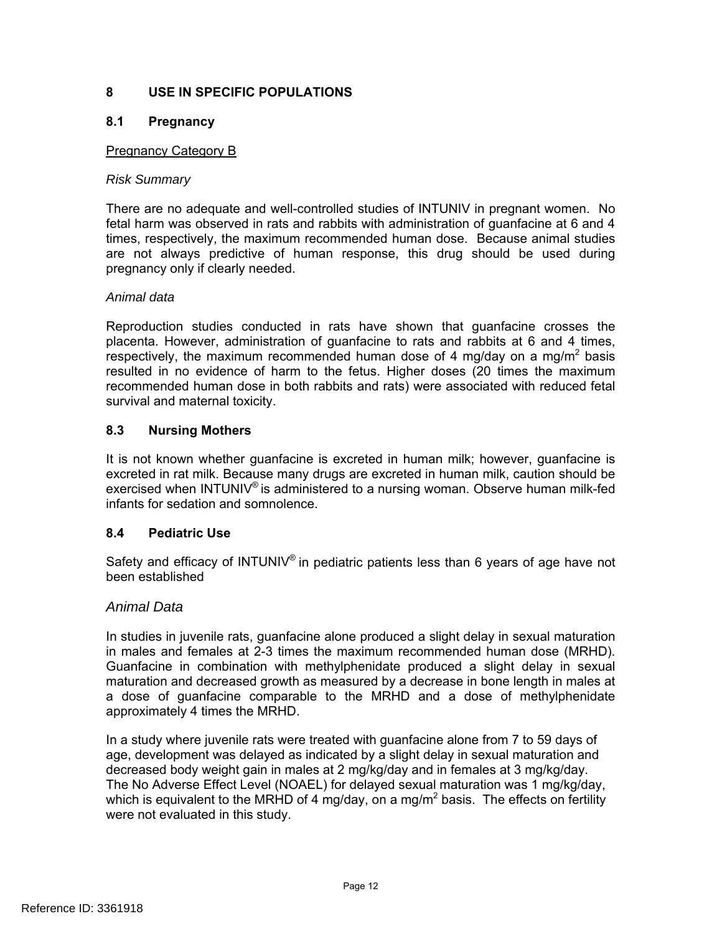# <span id="page-11-0"></span>**8 USE IN SPECIFIC POPULATIONS**

## **8.1 Pregnancy**

#### Pregnancy Category B

#### *Risk Summary*

There are no adequate and well-controlled studies of INTUNIV in pregnant women. No fetal harm was observed in rats and rabbits with administration of guanfacine at 6 and 4 times, respectively, the maximum recommended human dose. Because animal studies are not always predictive of human response, this drug should be used during pregnancy only if clearly needed.

#### *Animal data*

Reproduction studies conducted in rats have shown that guanfacine crosses the placenta. However, administration of guanfacine to rats and rabbits at 6 and 4 times, respectively, the maximum recommended human dose of 4 mg/day on a mg/m<sup>2</sup> basis resulted in no evidence of harm to the fetus. Higher doses (20 times the maximum recommended human dose in both rabbits and rats) were associated with reduced fetal survival and maternal toxicity.

#### **8.3 Nursing Mothers**

It is not known whether guanfacine is excreted in human milk; however, guanfacine is excreted in rat milk. Because many drugs are excreted in human milk, caution should be exercised when INTUNIV® is administered to a nursing woman. Observe human milk-fed infants for sedation and somnolence.

#### **8.4 Pediatric Use**

Safety and efficacy of INTUNIV® in pediatric patients less than 6 years of age have not been established

#### *Animal Data*

In studies in juvenile rats, guanfacine alone produced a slight delay in sexual maturation in males and females at 2-3 times the maximum recommended human dose (MRHD). Guanfacine in combination with methylphenidate produced a slight delay in sexual maturation and decreased growth as measured by a decrease in bone length in males at a dose of guanfacine comparable to the MRHD and a dose of methylphenidate approximately 4 times the MRHD.

In a study where juvenile rats were treated with guanfacine alone from 7 to 59 days of age, development was delayed as indicated by a slight delay in sexual maturation and decreased body weight gain in males at 2 mg/kg/day and in females at 3 mg/kg/day. The No Adverse Effect Level (NOAEL) for delayed sexual maturation was 1 mg/kg/day, which is equivalent to the MRHD of 4 mg/day, on a mg/m<sup>2</sup> basis. The effects on fertility were not evaluated in this study.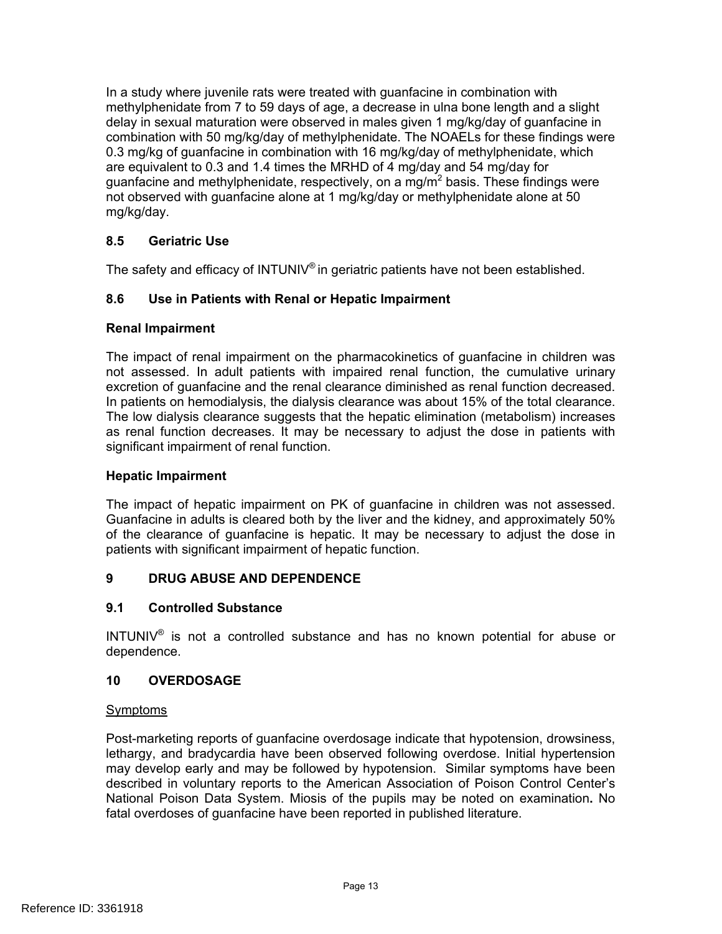In a study where juvenile rats were treated with guanfacine in combination with methylphenidate from 7 to 59 days of age, a decrease in ulna bone length and a slight delay in sexual maturation were observed in males given 1 mg/kg/day of guanfacine in combination with 50 mg/kg/day of methylphenidate. The NOAELs for these findings were 0.3 mg/kg of guanfacine in combination with 16 mg/kg/day of methylphenidate, which are equivalent to 0.3 and 1.4 times the MRHD of 4 mg/day and 54 mg/day for guanfacine and methylphenidate, respectively, on a mg/m<sup>2</sup> basis. These findings were not observed with guanfacine alone at 1 mg/kg/day or methylphenidate alone at 50 mg/kg/day.

# **8.5 Geriatric Use**

The safety and efficacy of INTUNIV® in geriatric patients have not been established.

## **8.6 Use in Patients with Renal or Hepatic Impairment**

#### **Renal Impairment**

The impact of renal impairment on the pharmacokinetics of guanfacine in children was not assessed. In adult patients with impaired renal function, the cumulative urinary excretion of guanfacine and the renal clearance diminished as renal function decreased. In patients on hemodialysis, the dialysis clearance was about 15% of the total clearance. The low dialysis clearance suggests that the hepatic elimination (metabolism) increases as renal function decreases. It may be necessary to adjust the dose in patients with significant impairment of renal function.

#### **Hepatic Impairment**

The impact of hepatic impairment on PK of guanfacine in children was not assessed. Guanfacine in adults is cleared both by the liver and the kidney, and approximately 50% of the clearance of guanfacine is hepatic. It may be necessary to adjust the dose in patients with significant impairment of hepatic function.

#### **9 DRUG ABUSE AND DEPENDENCE**

#### **9.1 Controlled Substance**

INTUNIV® is not a controlled substance and has no known potential for abuse or dependence.

#### **10 OVERDOSAGE**

#### Symptoms

Post-marketing reports of guanfacine overdosage indicate that hypotension, drowsiness, lethargy, and bradycardia have been observed following overdose. Initial hypertension may develop early and may be followed by hypotension. Similar symptoms have been described in voluntary reports to the American Association of Poison Control Center's National Poison Data System. Miosis of the pupils may be noted on examination**.** No fatal overdoses of guanfacine have been reported in published literature.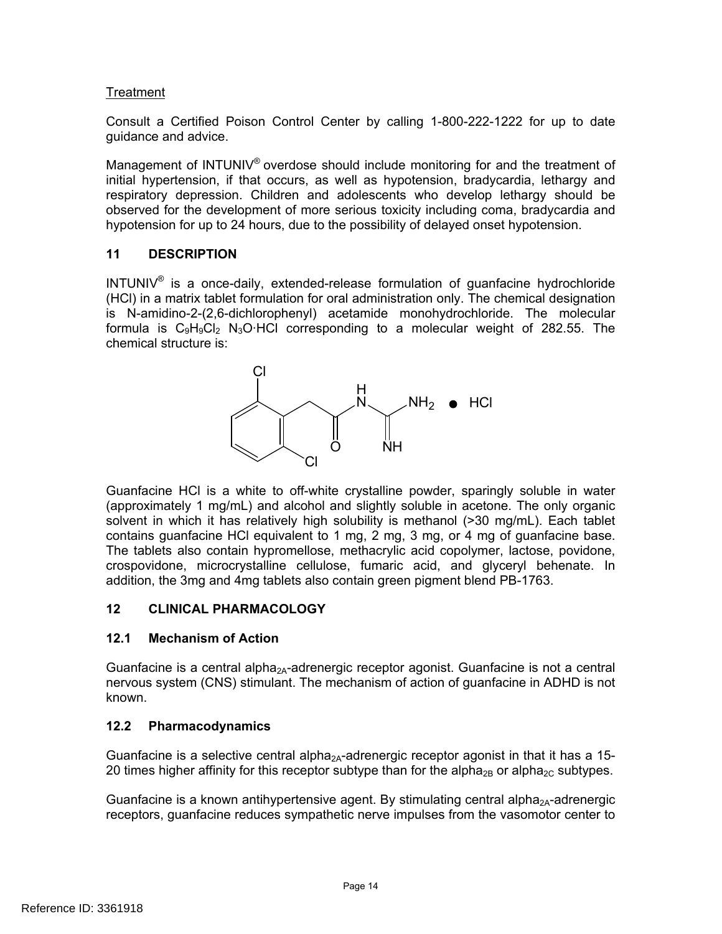## Treatment

Consult a Certified Poison Control Center by calling 1-800-222-1222 for up to date guidance and advice.

Management of INTUNIV® overdose should include monitoring for and the treatment of initial hypertension, if that occurs, as well as hypotension, bradycardia, lethargy and respiratory depression. Children and adolescents who develop lethargy should be observed for the development of more serious toxicity including coma, bradycardia and hypotension for up to 24 hours, due to the possibility of delayed onset hypotension.

## **11 DESCRIPTION**

 $INTUNIV<sup>®</sup>$  is a once-daily, extended-release formulation of quanfacine hydrochloride (HCl) in a matrix tablet formulation for oral administration only. The chemical designation is N-amidino-2-(2,6-dichlorophenyl) acetamide monohydrochloride. The molecular formula is  $C_9H_9Cl_2$  N<sub>3</sub>O·HCl corresponding to a molecular weight of 282.55. The chemical structure is:



Guanfacine HCl is a white to off-white crystalline powder, sparingly soluble in water (approximately 1 mg/mL) and alcohol and slightly soluble in acetone. The only organic solvent in which it has relatively high solubility is methanol (>30 mg/mL). Each tablet contains guanfacine HCl equivalent to 1 mg, 2 mg, 3 mg, or 4 mg of guanfacine base. The tablets also contain hypromellose, methacrylic acid copolymer, lactose, povidone, crospovidone, microcrystalline cellulose, fumaric acid, and glyceryl behenate. In addition, the 3mg and 4mg tablets also contain green pigment blend PB-1763.

#### **12 CLINICAL PHARMACOLOGY**

# **12.1 Mechanism of Action**

Guanfacine is a central alpha<sub>2A</sub>-adrenergic receptor agonist. Guanfacine is not a central nervous system (CNS) stimulant. The mechanism of action of guanfacine in ADHD is not known.

# **12.2 Pharmacodynamics**

Guanfacine is a selective central alpha<sub>2A</sub>-adrenergic receptor agonist in that it has a 15-20 times higher affinity for this receptor subtype than for the alpha<sub>2B</sub> or alpha<sub>2C</sub> subtypes.

Guanfacine is a known antihypertensive agent. By stimulating central alpha<sub>2A</sub>-adrenergic receptors, guanfacine reduces sympathetic nerve impulses from the vasomotor center to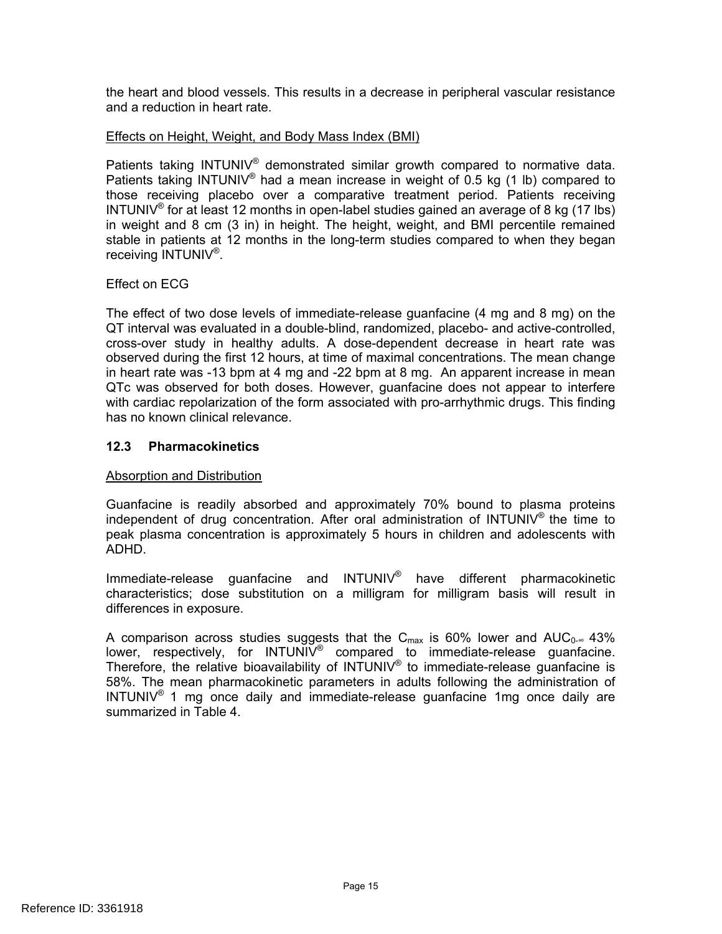the heart and blood vessels. This results in a decrease in peripheral vascular resistance and a reduction in heart rate.

#### **Effects on Height, Weight, and Body Mass Index (BMI)**

Patients taking INTUNIV<sup>®</sup> demonstrated similar growth compared to normative data. Patients taking INTUNIV® had a mean increase in weight of 0.5 kg (1 lb) compared to those receiving placebo over a comparative treatment period. Patients receiving INTUNIV<sup>®</sup> for at least 12 months in open-label studies gained an average of 8 kg (17 lbs) in weight and 8 cm (3 in) in height. The height, weight, and BMI percentile remained stable in patients at 12 months in the long-term studies compared to when they began receiving INTUNIV<sup>®</sup>.

## Effect on ECG

The effect of two dose levels of immediate-release guanfacine (4 mg and 8 mg) on the QT interval was evaluated in a double-blind, randomized, placebo- and active-controlled, cross-over study in healthy adults. A dose-dependent decrease in heart rate was observed during the first 12 hours, at time of maximal concentrations. The mean change in heart rate was -13 bpm at 4 mg and -22 bpm at 8 mg. An apparent increase in mean QTc was observed for both doses. However, guanfacine does not appear to interfere with cardiac repolarization of the form associated with pro-arrhythmic drugs. This finding has no known clinical relevance.

## **12.3 Pharmacokinetics**

#### Absorption and Distribution

Guanfacine is readily absorbed and approximately 70% bound to plasma proteins independent of drug concentration. After oral administration of INTUNIV<sup>®</sup> the time to peak plasma concentration is approximately 5 hours in children and adolescents with ADHD.

Immediate-release guanfacine and INTUNIV® have different pharmacokinetic characteristics; dose substitution on a milligram for milligram basis will result in differences in exposure.

A comparison across studies suggests that the C<sub>max</sub> is 60% lower and  $AUC_{0}$ <sup>-</sup> 43% lower, respectively, for INTUNIV<sup>®</sup> compared to immediate-release guanfacine. Therefore, the relative bioavailability of INTUNIV® to immediate-release guanfacine is 58%. The mean pharmacokinetic parameters in adults following the administration of  $INTUNIV<sup>®</sup>$  1 mg once daily and immediate-release quanfacine 1mg once daily are summarized in Table 4.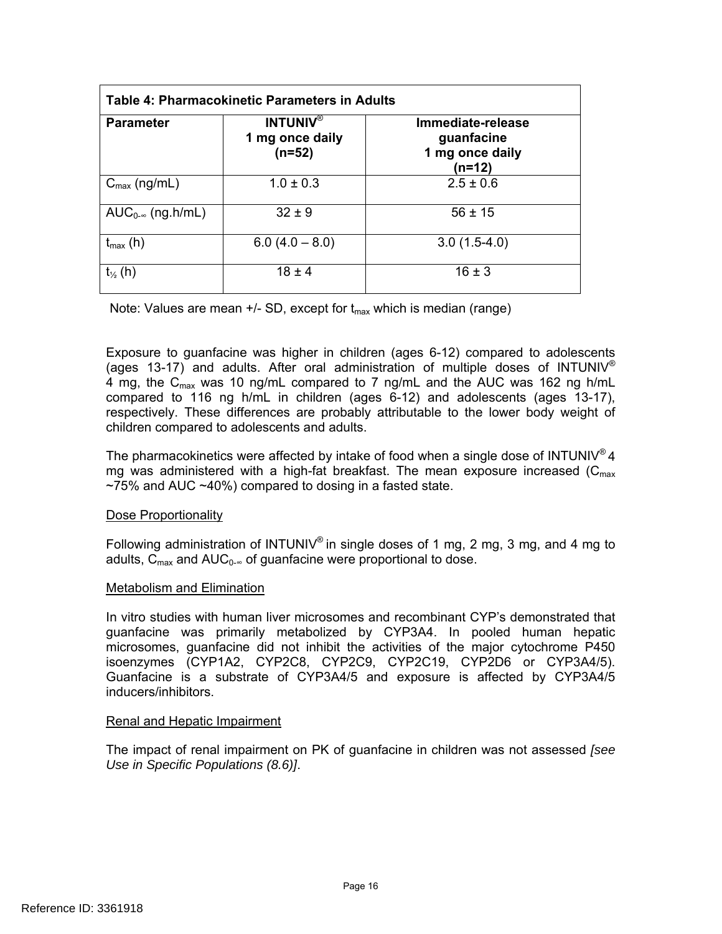| <b>Parameter</b>                               | Table 4: Pharmacokinetic Parameters in Adults<br><b>INTUNIV®</b><br>1 mg once daily<br>$(n=52)$ | Immediate-release<br>guanfacine<br>1 mg once daily<br>$(n=12)$ |
|------------------------------------------------|-------------------------------------------------------------------------------------------------|----------------------------------------------------------------|
| $C_{\text{max}}$ (ng/mL)                       | $1.0 \pm 0.3$                                                                                   | $2.5 \pm 0.6$                                                  |
| AUC <sub>0-<math>\infty</math></sub> (ng.h/mL) | $32 \pm 9$                                                                                      | $56 \pm 15$                                                    |
| $t_{\text{max}}$ (h)                           | $6.0(4.0 - 8.0)$                                                                                | $3.0(1.5-4.0)$                                                 |
| $t_{\frac{1}{2}}(h)$                           | $18 \pm 4$                                                                                      | $16 \pm 3$                                                     |

Note: Values are mean  $+/-$  SD, except for  $t_{max}$  which is median (range)

Exposure to guanfacine was higher in children (ages 6-12) compared to adolescents (ages 13-17) and adults. After oral administration of multiple doses of INTUNIV<sup>®</sup> 4 mg, the C<sub>max</sub> was 10 ng/mL compared to 7 ng/mL and the AUC was 162 ng h/mL compared to 116 ng h/mL in children (ages 6-12) and adolescents (ages 13-17), respectively. These differences are probably attributable to the lower body weight of children compared to adolescents and adults.

The pharmacokinetics were affected by intake of food when a single dose of INTUNIV<sup>®</sup> 4 mg was administered with a high-fat breakfast. The mean exposure increased ( $C_{\text{max}}$ )  $~1$ ,  $~75\%$  and AUC  $~10\%$  compared to dosing in a fasted state.

#### Dose Proportionality

Following administration of INTUNIV® in single doses of 1 mg, 2 mg, 3 mg, and 4 mg to adults,  $\overline{C}_{\text{max}}$  and AUC<sub>0-∞</sub> of quanfacine were proportional to dose.

#### Metabolism and Elimination

isoenzymes (CYP1A2, CYP2C8, CYP2C9, CYP2C19, CYP2D6 or CYP3A4/5). In vitro studies with human liver microsomes and recombinant CYP's demonstrated that guanfacine was primarily metabolized by CYP3A4. In pooled human hepatic microsomes, guanfacine did not inhibit the activities of the major cytochrome P450 Guanfacine is a substrate of CYP3A4/5 and exposure is affected by CYP3A4/5 inducers/inhibitors.

#### Renal and Hepatic Impairment

The impact of renal impairment on PK of guanfacine in children was not assessed *[see Use in Specific Populations (8.6)]*.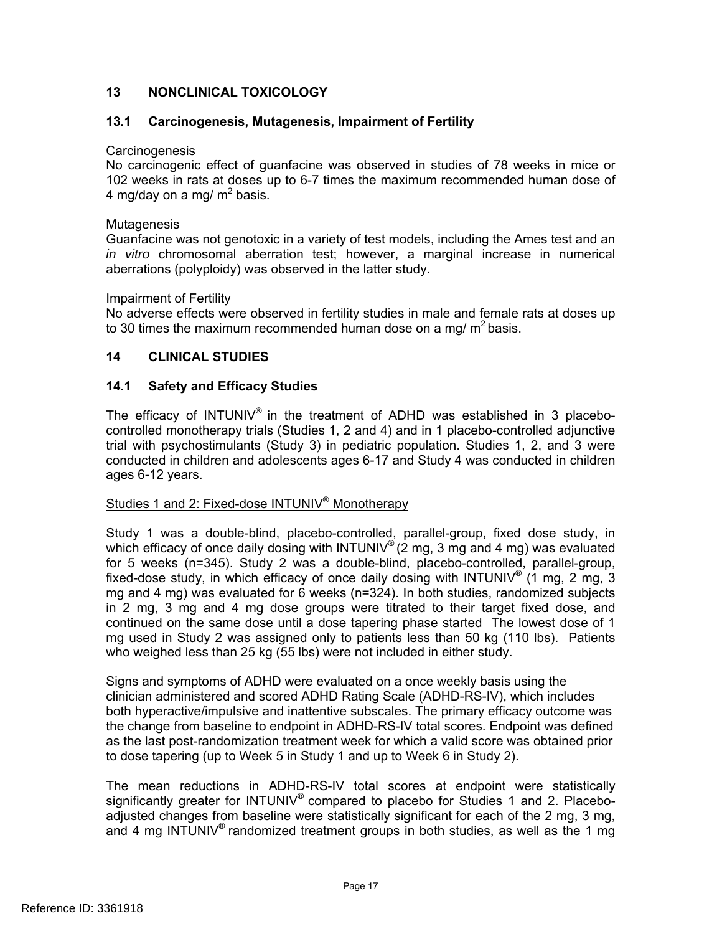# **13 NONCLINICAL TOXICOLOGY**

### **13.1 Carcinogenesis, Mutagenesis, Impairment of Fertility**

#### **Carcinogenesis**

No carcinogenic effect of guanfacine was observed in studies of 78 weeks in mice or 102 weeks in rats at doses up to 6-7 times the maximum recommended human dose of 4 mg/day on a mg/ m<sup>2</sup> basis.

#### Mutagenesis

Guanfacine was not genotoxic in a variety of test models, including the Ames test and an *in vitro* chromosomal aberration test; however, a marginal increase in numerical aberrations (polyploidy) was observed in the latter study.

#### Impairment of Fertility

No adverse effects were observed in fertility studies in male and female rats at doses up to 30 times the maximum recommended human dose on a mg/  $m^2$  basis.

## **14 CLINICAL STUDIES**

#### **14.1 Safety and Efficacy Studies**

The efficacy of INTUNIV<sup>®</sup> in the treatment of ADHD was established in 3 placebocontrolled monotherapy trials (Studies 1, 2 and 4) and in 1 placebo-controlled adjunctive trial with psychostimulants (Study 3) in pediatric population. Studies 1, 2, and 3 were conducted in children and adolescents ages 6-17 and Study 4 was conducted in children ages 6-12 years.

#### Studies 1 and 2: Fixed-dose INTUNIV® Monotherapy

Study 1 was a double-blind, placebo-controlled, parallel-group, fixed dose study, in which efficacy of once daily dosing with INTUNIV<sup>®</sup> (2 mg, 3 mg and 4 mg) was evaluated for 5 weeks (n=345). Study 2 was a double-blind, placebo-controlled, parallel-group, fixed-dose study, in which efficacy of once daily dosing with INTUNIV<sup>®</sup> (1 mg, 2 mg, 3 mg and 4 mg) was evaluated for 6 weeks (n=324). In both studies, randomized subjects in 2 mg, 3 mg and 4 mg dose groups were titrated to their target fixed dose, and continued on the same dose until a dose tapering phase started The lowest dose of 1 mg used in Study 2 was assigned only to patients less than 50 kg (110 lbs). Patients who weighed less than 25 kg (55 lbs) were not included in either study.

Signs and symptoms of ADHD were evaluated on a once weekly basis using the clinician administered and scored ADHD Rating Scale (ADHD-RS-IV), which includes both hyperactive/impulsive and inattentive subscales. The primary efficacy outcome was the change from baseline to endpoint in ADHD-RS-IV total scores. Endpoint was defined as the last post-randomization treatment week for which a valid score was obtained prior to dose tapering (up to Week 5 in Study 1 and up to Week 6 in Study 2).

The mean reductions in ADHD-RS-IV total scores at endpoint were statistically significantly greater for  $INTUNIV<sup>®</sup>$  compared to placebo for Studies 1 and 2. Placeboadjusted changes from baseline were statistically significant for each of the 2 mg, 3 mg, and 4 mg INTUNIV<sup>®</sup> randomized treatment groups in both studies, as well as the 1 mg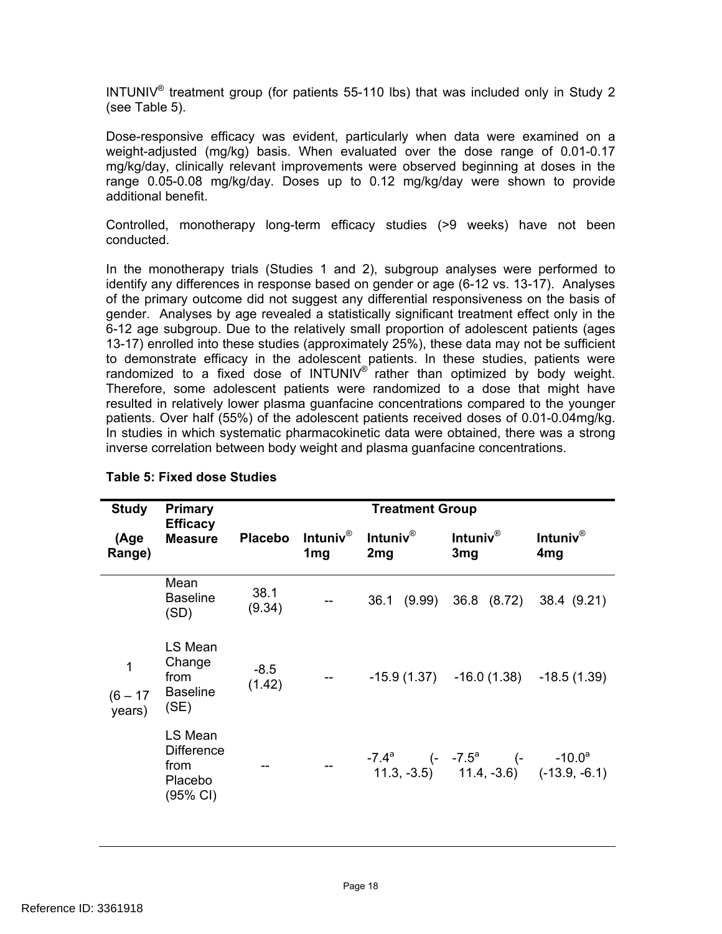INTUNIV<sup>®</sup> treatment group (for patients 55-110 lbs) that was included only in Study 2 (see Table 5).

Dose-responsive efficacy was evident, particularly when data were examined on a weight-adjusted (mg/kg) basis. When evaluated over the dose range of 0.01-0.17 mg/kg/day, clinically relevant improvements were observed beginning at doses in the range 0.05-0.08 mg/kg/day. Doses up to 0.12 mg/kg/day were shown to provide additional benefit.

Controlled, monotherapy long-term efficacy studies (>9 weeks) have not been conducted.

In the monotherapy trials (Studies 1 and 2), subgroup analyses were performed to identify any differences in response based on gender or age (6-12 vs. 13-17). Analyses of the primary outcome did not suggest any differential responsiveness on the basis of gender. Analyses by age revealed a statistically significant treatment effect only in the 6-12 age subgroup. Due to the relatively small proportion of adolescent patients (ages 13-17) enrolled into these studies (approximately 25%), these data may not be sufficient to demonstrate efficacy in the adolescent patients. In these studies, patients were randomized to a fixed dose of INTUNIV® rather than optimized by body weight. Therefore, some adolescent patients were randomized to a dose that might have resulted in relatively lower plasma guanfacine concentrations compared to the younger patients. Over half (55%) of the adolescent patients received doses of 0.01-0.04mg/kg. In studies in which systematic pharmacokinetic data were obtained, there was a strong inverse correlation between body weight and plasma guanfacine concentrations.

| <b>Study</b>                                        | <b>Primary</b>                                              |                  | <b>Treatment Group</b>                |                 |                                                                                    |                                       |
|-----------------------------------------------------|-------------------------------------------------------------|------------------|---------------------------------------|-----------------|------------------------------------------------------------------------------------|---------------------------------------|
| <b>Efficacy</b><br><b>Measure</b><br>(Age<br>Range) |                                                             | <b>Placebo</b>   | Intuniv $^{\circ}$<br>1 <sub>mg</sub> | Intuniv®<br>2mg | Intuniv $^{\circ}$<br>3mg                                                          | Intuniv $^{\circ}$<br>4 <sub>mg</sub> |
|                                                     | Mean<br><b>Baseline</b><br>(SD)                             | 38.1<br>(9.34)   |                                       |                 | 36.1 (9.99) 36.8 (8.72) 38.4 (9.21)                                                |                                       |
| 1<br>$(6 - 17)$<br>years)                           | LS Mean<br>Change<br>from<br><b>Baseline</b><br>(SE)        | $-8.5$<br>(1.42) |                                       |                 | $-15.9(1.37) -16.0(1.38) -18.5(1.39)$                                              |                                       |
|                                                     | LS Mean<br><b>Difference</b><br>from<br>Placebo<br>(95% CI) |                  |                                       |                 | $-7.4^a$ (- $-7.5^a$ (- $-10.0^a$<br>$(11.3, -3.5)$ $(11.4, -3.6)$ $(-13.9, -6.1)$ |                                       |

#### **Table 5: Fixed dose Studies**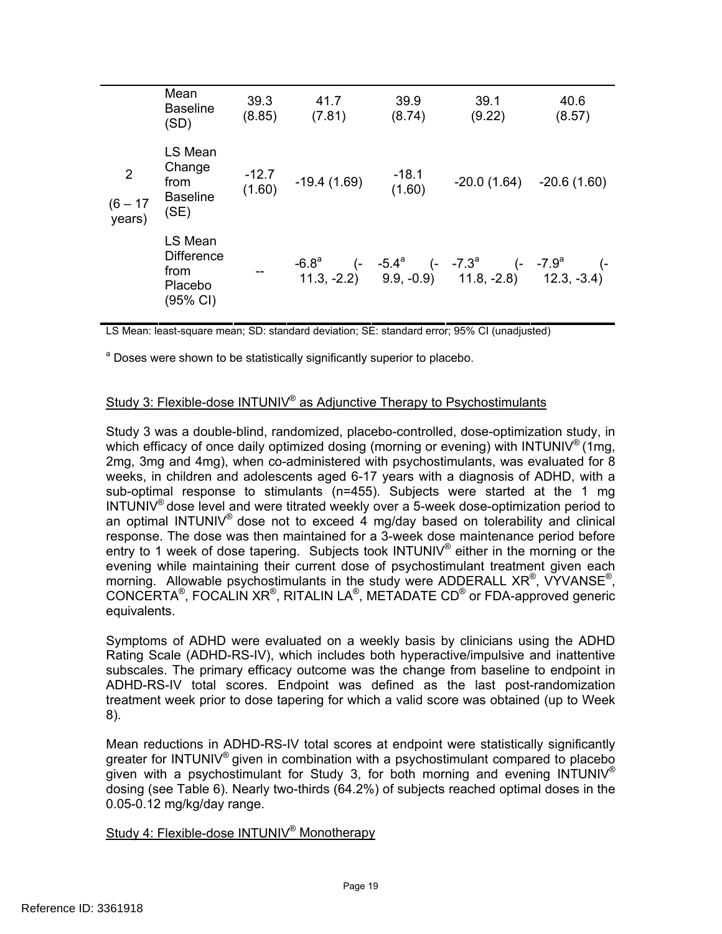|                                        | Mean<br><b>Baseline</b><br>(SD)                             | 39.3<br>(8.85)    | 41.7<br>(7.81) | 39.9<br>(8.74)    | 39.1<br>(9.22)                                                                                   | 40.6<br>(8.57) |
|----------------------------------------|-------------------------------------------------------------|-------------------|----------------|-------------------|--------------------------------------------------------------------------------------------------|----------------|
| $\overline{2}$<br>$(6 - 17)$<br>years) | LS Mean<br>Change<br>from<br><b>Baseline</b><br>(SE)        | $-12.7$<br>(1.60) | $-19.4(1.69)$  | $-18.1$<br>(1.60) | $-20.0(1.64)$                                                                                    | $-20.6(1.60)$  |
|                                        | LS Mean<br><b>Difference</b><br>from<br>Placebo<br>(95% CI) | --                |                |                   | $-6.8^a$ (- $-5.4^a$ (- $-7.3^a$ (- $-7.9^a$ (<br>11.3, -2.2) 9.9, -0.9) 11.8, -2.8) 12.3, -3.4) |                |

LS Mean: least-square mean; SD: standard deviation; SE: standard error; 95% CI (unadjusted)

<sup>a</sup> Doses were shown to be statistically significantly superior to placebo.

#### Study 3: Flexible-dose INTUNIV® as Adjunctive Therapy to Psychostimulants

Study 3 was a double-blind, randomized, placebo-controlled, dose-optimization study, in which efficacy of once daily optimized dosing (morning or evening) with INTUNIV<sup>®</sup> (1mg, 2mg, 3mg and 4mg), when co-administered with psychostimulants, was evaluated for 8 weeks, in children and adolescents aged 6-17 years with a diagnosis of ADHD, with a sub-optimal response to stimulants (n=455). Subjects were started at the 1 mg INTUNIV® dose level and were titrated weekly over a 5-week dose-optimization period to an optimal INTUNIV<sup>®</sup> dose not to exceed 4 mg/day based on tolerability and clinical response. The dose was then maintained for a 3-week dose maintenance period before entry to 1 week of dose tapering. Subjects took INTUNIV<sup>®</sup> either in the morning or the evening while maintaining their current dose of psychostimulant treatment given each morning. Allowable psychostimulants in the study were ADDERALL  $XR^{\circledast}$ , VYVANSE<sup>®</sup>, CONCERTA®, FOCALIN XR®, RITALIN LA®, METADATE CD® or FDA-approved generic equivalents.

Symptoms of ADHD were evaluated on a weekly basis by clinicians using the ADHD Rating Scale (ADHD-RS-IV), which includes both hyperactive/impulsive and inattentive subscales. The primary efficacy outcome was the change from baseline to endpoint in ADHD-RS-IV total scores. Endpoint was defined as the last post-randomization treatment week prior to dose tapering for which a valid score was obtained (up to Week 8).

Mean reductions in ADHD-RS-IV total scores at endpoint were statistically significantly greater for INTUNIV<sup>®</sup> given in combination with a psychostimulant compared to placebo given with a psychostimulant for Study 3, for both morning and evening INTUNIV<sup>®</sup> dosing (see Table 6). Nearly two-thirds (64.2%) of subjects reached optimal doses in the 0.05-0.12 mg/kg/day range.

### Study 4: Flexible-dose INTUNIV® Monotherapy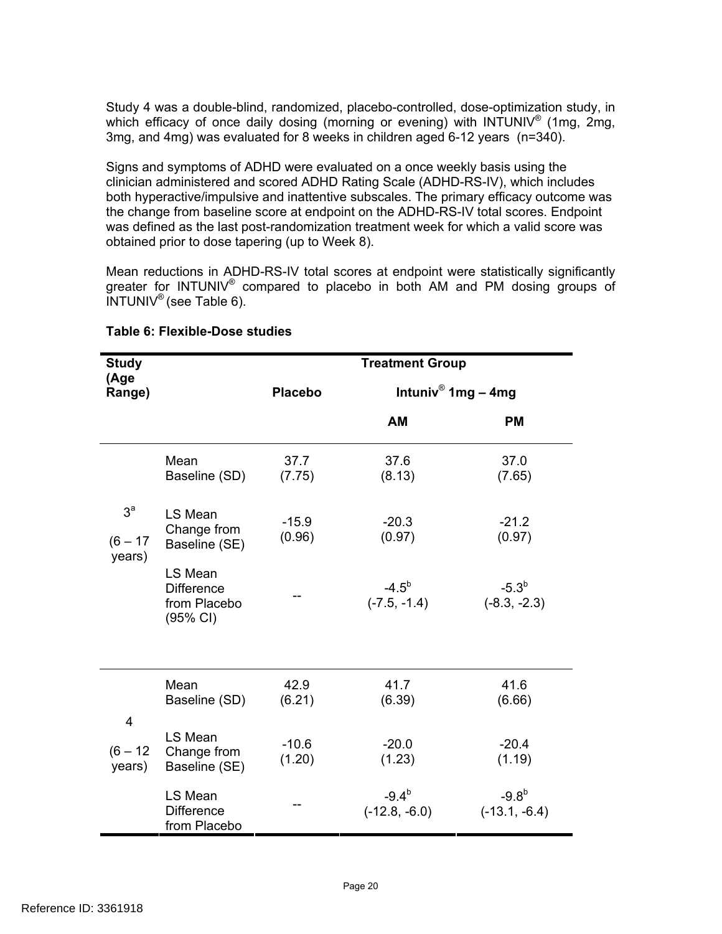Study 4 was a double-blind, randomized, placebo-controlled, dose-optimization study, in which efficacy of once daily dosing (morning or evening) with INTUNIV<sup>®</sup> (1mg, 2mg, 3mg, and 4mg) was evaluated for 8 weeks in children aged 6-12 years (n=340).

Signs and symptoms of ADHD were evaluated on a once weekly basis using the clinician administered and scored ADHD Rating Scale (ADHD-RS-IV), which includes both hyperactive/impulsive and inattentive subscales. The primary efficacy outcome was the change from baseline score at endpoint on the ADHD-RS-IV total scores. Endpoint was defined as the last post-randomization treatment week for which a valid score was obtained prior to dose tapering (up to Week 8).

Mean reductions in ADHD-RS-IV total scores at endpoint were statistically significantly greater for INTUNIV® compared to placebo in both AM and PM dosing groups of  $INTUNIV^{\circledast}$  (see Table 6).

| <b>Study</b><br>(Age                   |                                                          | <b>Treatment Group</b> |                               |                              |  |
|----------------------------------------|----------------------------------------------------------|------------------------|-------------------------------|------------------------------|--|
| Range)                                 |                                                          | <b>Placebo</b>         |                               | Intuniv® 1mg – 4mg           |  |
|                                        |                                                          |                        | AM                            | <b>PM</b>                    |  |
|                                        | Mean<br>Baseline (SD)                                    | 37.7<br>(7.75)         | 37.6<br>(8.13)                | 37.0<br>(7.65)               |  |
| 3 <sup>a</sup><br>$(6 - 17)$<br>years) | LS Mean<br>Change from<br>Baseline (SE)                  | $-15.9$<br>(0.96)      | $-20.3$<br>(0.97)             | $-21.2$<br>(0.97)            |  |
|                                        | LS Mean<br><b>Difference</b><br>from Placebo<br>(95% CI) |                        | $-4.5^{b}$<br>$(-7.5, -1.4)$  | $-5.3^{b}$<br>$(-8.3, -2.3)$ |  |
|                                        |                                                          |                        |                               |                              |  |
|                                        | Mean<br>Baseline (SD)                                    | 42.9<br>(6.21)         | 41.7<br>(6.39)                | 41.6<br>(6.66)               |  |
| $\overline{4}$<br>$(6 - 12)$<br>years) | LS Mean<br>Change from<br>Baseline (SE)                  | $-10.6$<br>(1.20)      | $-20.0$<br>(1.23)             | $-20.4$<br>(1.19)            |  |
|                                        | LS Mean<br><b>Difference</b><br>from Placebo             |                        | $-9.4^{b}$<br>$(-12.8, -6.0)$ | $-9.8b$<br>$(-13.1, -6.4)$   |  |

#### **Table 6: Flexible-Dose studies**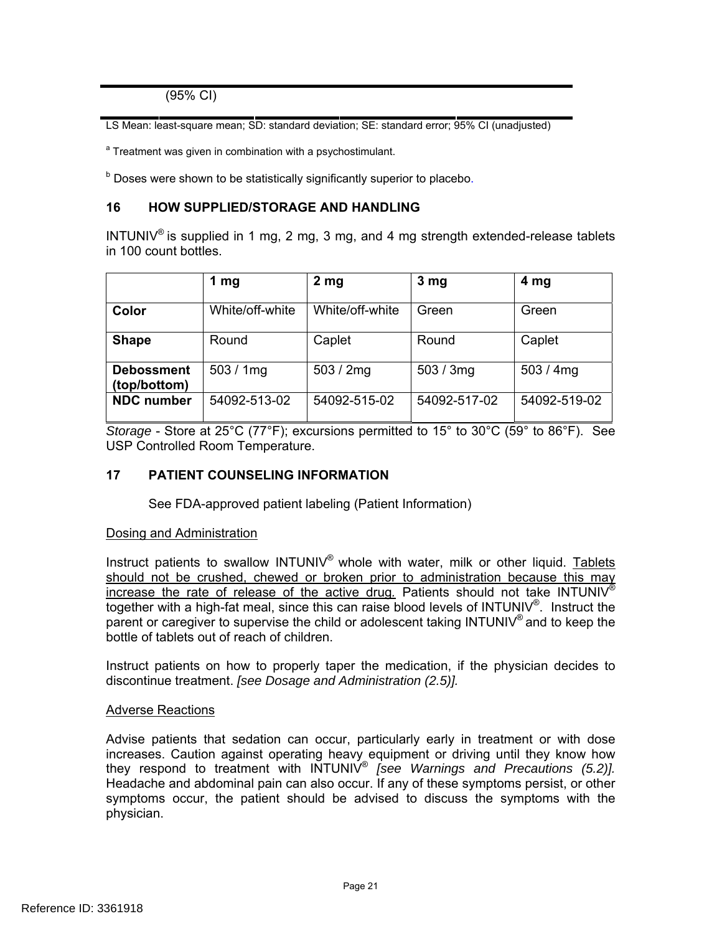(95% CI)

LS Mean: least-square mean; SD: standard deviation; SE: standard error; 95% CI (unadjusted)

<sup>a</sup> Treatment was given in combination with a psychostimulant.

<sup>b</sup> Doses were shown to be statistically significantly superior to placebo.

#### **16 HOW SUPPLIED/STORAGE AND HANDLING**

INTUNIV<sup>®</sup> is supplied in 1 mg, 2 mg, 3 mg, and 4 mg strength extended-release tablets in 100 count bottles.

|                                   | 1 $mg$          | 2 <sub>mg</sub> | 3 mg         | 4 <sub>mg</sub> |
|-----------------------------------|-----------------|-----------------|--------------|-----------------|
| Color                             | White/off-white | White/off-white | Green        | Green           |
| <b>Shape</b>                      | Round           | Caplet          | Round        | Caplet          |
| <b>Debossment</b><br>(top/bottom) | 503/1mg         | 503 / $2mg$     | 503 / 3mg    | 503 / 4mg       |
| <b>NDC</b> number                 | 54092-513-02    | 54092-515-02    | 54092-517-02 | 54092-519-02    |

*Storage* - Store at 25°C (77°F); excursions permitted to 15° to 30°C (59° to 86°F). See USP Controlled Room Temperature.

#### **17 PATIENT COUNSELING INFORMATION**

See FDA-approved patient labeling (Patient Information)

#### Dosing and Administration

Instruct patients to swallow  $INTUNIV<sup>®</sup>$  whole with water, milk or other liquid. Tablets should not be crushed, chewed or broken prior to administration because this may increase the rate of release of the active drug*.* Patients should not take INTUNIV® together with a high-fat meal, since this can raise blood levels of INTUNIV® . Instruct the parent or caregiver to supervise the child or adolescent taking INTUNIV<sup>®</sup> and to keep the bottle of tablets out of reach of children.

Instruct patients on how to properly taper the medication, if the physician decides to discontinue treatment. *[see Dosage and Administration (2.5)].* 

#### Adverse Reactions

Advise patients that sedation can occur, particularly early in treatment or with dose increases. Caution against operating heavy equipment or driving until they know how they respond to treatment with INTUNIV® *[see Warnings and Precautions (5.2)].*  Headache and abdominal pain can also occur. If any of these symptoms persist, or other symptoms occur, the patient should be advised to discuss the symptoms with the physician.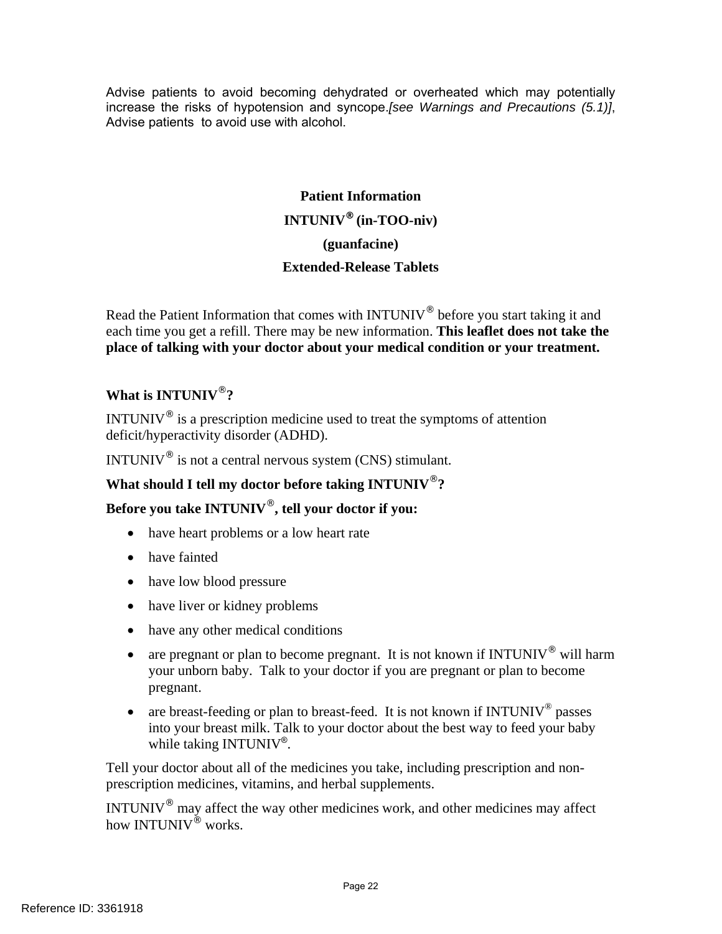Advise patients to avoid becoming dehydrated or overheated which may potentially increase the risks of hypotension and syncope.*[see Warnings and Precautions (5.1)]*, Advise patients to avoid use with alcohol.

# **Patient Information INTUNIV® (in-TOO-niv) (guanfacine) Extended-Release Tablets**

Read the Patient Information that comes with INTUNIV<sup>®</sup> before you start taking it and each time you get a refill. There may be new information. **This leaflet does not take the place of talking with your doctor about your medical condition or your treatment.** 

# **What is INTUNIV**®**?**

INTUNIV $^{\circ}$  is a prescription medicine used to treat the symptoms of attention deficit/hyperactivity disorder (ADHD).

INTUNIV<sup>®</sup> is not a central nervous system (CNS) stimulant.

# **What should I tell my doctor before taking INTUNIV**®**?**

# **Before you take INTUNIV**®**, tell your doctor if you:**

- have heart problems or a low heart rate
- have fainted
- have low blood pressure
- have liver or kidney problems
- have any other medical conditions
- are pregnant or plan to become pregnant. It is not known if INTUNIV<sup>®</sup> will harm your unborn baby. Talk to your doctor if you are pregnant or plan to become pregnant.
- are breast-feeding or plan to breast-feed. It is not known if  $INTUNIV^{\circ}$  passes into your breast milk. Talk to your doctor about the best way to feed your baby while taking  $INTUNIV^{\circ}$ .

Tell your doctor about all of the medicines you take, including prescription and nonprescription medicines, vitamins, and herbal supplements.

INTUNIV® may affect the way other medicines work, and other medicines may affect how INTUNIV<sup>®</sup> works.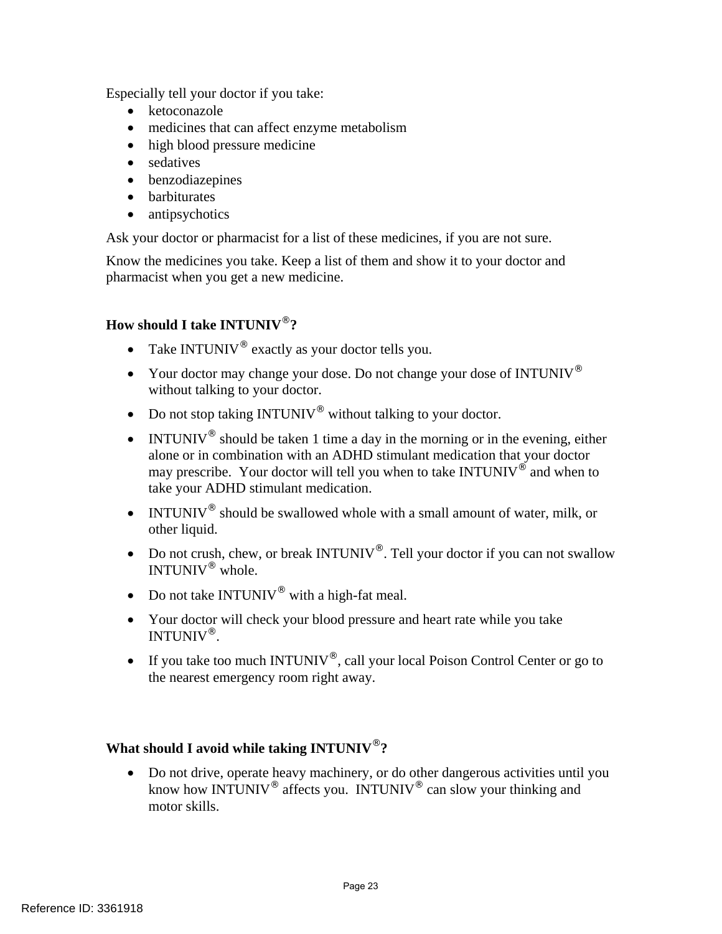Especially tell your doctor if you take:

- ketoconazole
- medicines that can affect enzyme metabolism
- high blood pressure medicine
- sedatives
- benzodiazepines
- barbiturates
- antipsychotics

Ask your doctor or pharmacist for a list of these medicines, if you are not sure.

Know the medicines you take. Keep a list of them and show it to your doctor and pharmacist when you get a new medicine.

# **How should I take INTUNIV**®**?**

- Take INTUNIV<sup>®</sup> exactly as your doctor tells you.
- Your doctor may change your dose. Do not change your dose of INTUNIV<sup>®</sup> without talking to your doctor.
- Do not stop taking  $INTUNIV^®$  without talking to your doctor.
- INTUNIV<sup>®</sup> should be taken 1 time a day in the morning or in the evening, either alone or in combination with an ADHD stimulant medication that your doctor may prescribe. Your doctor will tell you when to take  $INTUNIV^{\circ}$  and when to take your ADHD stimulant medication.
- INTUNIV<sup>®</sup> should be swallowed whole with a small amount of water, milk, or other liquid.
- Do not crush, chew, or break INTUNIV<sup>®</sup>. Tell your doctor if you can not swallow INTUNIV® whole.
- Do not take  $INTUNIV^{\circledR}$  with a high-fat meal.
- Your doctor will check your blood pressure and heart rate while you take INTUNIV®.
- If you take too much INTUNIV<sup>®</sup>, call your local Poison Control Center or go to the nearest emergency room right away.

## **What should I avoid while taking INTUNIV**®**?**

 Do not drive, operate heavy machinery, or do other dangerous activities until you know how INTUNIV<sup>®</sup> affects you. INTUNIV<sup>®</sup> can slow your thinking and motor skills.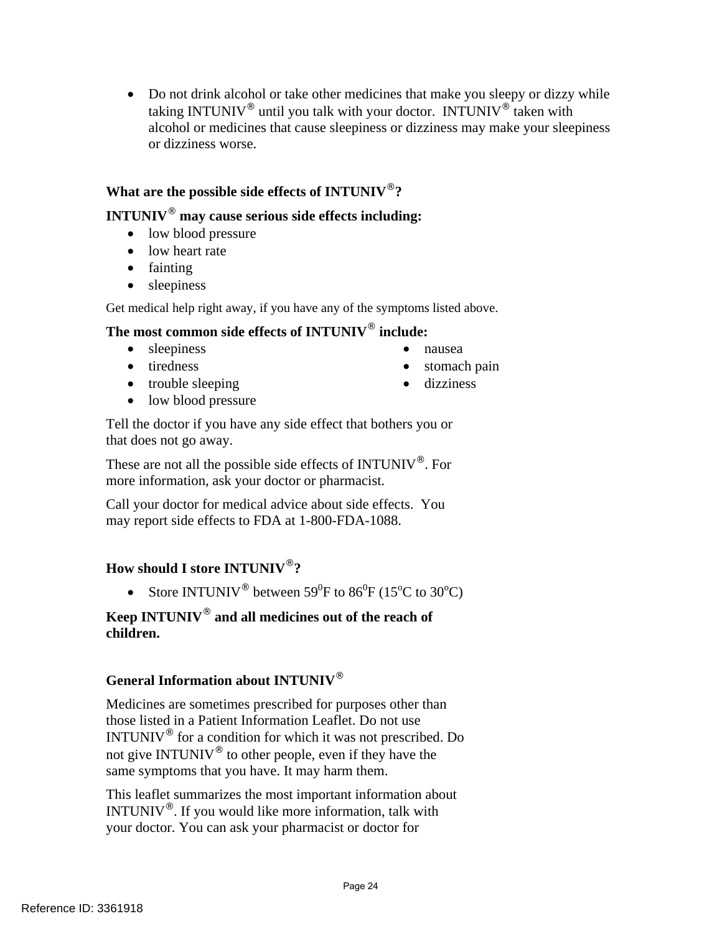• Do not drink alcohol or take other medicines that make you sleepy or dizzy while taking INTUNIV® until you talk with your doctor. INTUNIV® taken with alcohol or medicines that cause sleepiness or dizziness may make your sleepiness or dizziness worse.

# **What are the possible side effects of INTUNIV**®**?**

# **INTUNIV**® **may cause serious side effects including:**

- low blood pressure
- low heart rate
- fainting
- sleepiness

Get medical help right away, if you have any of the symptoms listed above.

# **The most common side effects of INTUNIV**® **include:**

- sleepiness nausea
- 
- trouble sleeping dizziness
- 
- tiredness stomach pain
	-

• low blood pressure

Tell the doctor if you have any side effect that bothers you or that does not go away.

These are not all the possible side effects of INTUNIV®. For more information, ask your doctor or pharmacist.

Call your doctor for medical advice about side effects. You may report side effects to FDA at 1-800-FDA-1088.

# **How should I store INTUNIV**®**?**

• Store INTUNIV<sup>®</sup> between  $59^0F$  to  $86^0F$  (15<sup>o</sup>C to 30<sup>o</sup>C)

# **Keep INTUNIV**® **and all medicines out of the reach of children.**

# **General Information about INTUNIV**®

Medicines are sometimes prescribed for purposes other than those listed in a Patient Information Leaflet. Do not use INTUNIV $^{\circ}$  for a condition for which it was not prescribed. Do not give INTUNIV® to other people, even if they have the same symptoms that you have. It may harm them.

This leaflet summarizes the most important information about INTUNIV®. If you would like more information, talk with your doctor. You can ask your pharmacist or doctor for